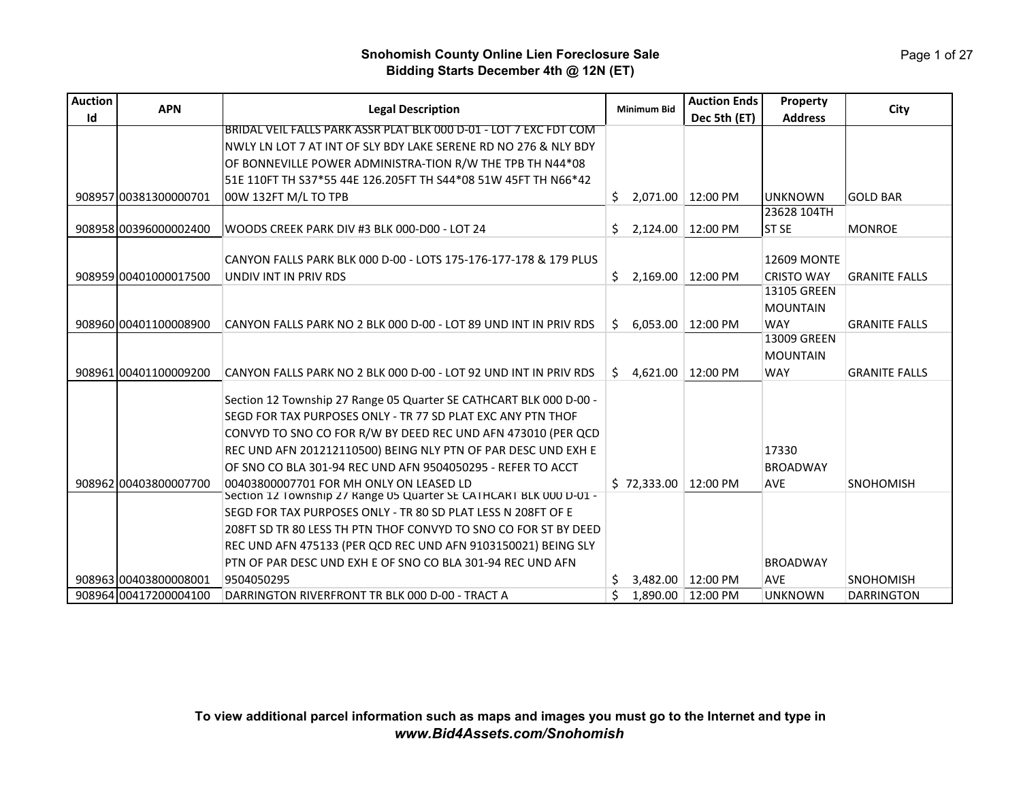Page 1 of 27

| <b>Auction</b> | <b>APN</b>            | <b>Legal Description</b>                                           |     | <b>Minimum Bid</b> | <b>Auction Ends</b> | Property                         | City                 |
|----------------|-----------------------|--------------------------------------------------------------------|-----|--------------------|---------------------|----------------------------------|----------------------|
| Id             |                       |                                                                    |     |                    | Dec 5th (ET)        | <b>Address</b>                   |                      |
|                |                       | BRIDAL VEIL FALLS PARK ASSR PLAT BLK 000 D-01 - LOT 7 EXC FDT COM  |     |                    |                     |                                  |                      |
|                |                       | NWLY LN LOT 7 AT INT OF SLY BDY LAKE SERENE RD NO 276 & NLY BDY    |     |                    |                     |                                  |                      |
|                |                       | OF BONNEVILLE POWER ADMINISTRA-TION R/W THE TPB TH N44*08          |     |                    |                     |                                  |                      |
|                |                       | 51E 110FT TH S37*55 44E 126.205FT TH S44*08 51W 45FT TH N66*42     |     |                    |                     |                                  |                      |
|                | 908957 00381300000701 | 00W 132FT M/L TO TPB                                               | \$. |                    | 2,071.00 12:00 PM   | <b>UNKNOWN</b>                   | <b>GOLD BAR</b>      |
|                |                       |                                                                    |     |                    |                     | 23628 104TH                      |                      |
|                | 908958 00396000002400 | WOODS CREEK PARK DIV #3 BLK 000-D00 - LOT 24                       | S.  |                    | 2,124.00 12:00 PM   | ST SE                            | <b>MONROE</b>        |
|                |                       |                                                                    |     |                    |                     |                                  |                      |
|                |                       | CANYON FALLS PARK BLK 000 D-00 - LOTS 175-176-177-178 & 179 PLUS   |     |                    |                     | <b>12609 MONTE</b>               |                      |
|                | 908959 00401000017500 | UNDIV INT IN PRIV RDS                                              | Ŝ.  | 2,169.00           | 12:00 PM            | <b>CRISTO WAY</b><br>13105 GREEN | <b>GRANITE FALLS</b> |
|                |                       |                                                                    |     |                    |                     | <b>MOUNTAIN</b>                  |                      |
|                | 908960 00401100008900 | CANYON FALLS PARK NO 2 BLK 000 D-00 - LOT 89 UND INT IN PRIV RDS   |     |                    |                     | <b>WAY</b>                       | <b>GRANITE FALLS</b> |
|                |                       |                                                                    | Ŝ.  |                    | 6.053.00 12:00 PM   | 13009 GREEN                      |                      |
|                |                       |                                                                    |     |                    |                     | <b>MOUNTAIN</b>                  |                      |
|                | 908961 00401100009200 | CANYON FALLS PARK NO 2 BLK 000 D-00 - LOT 92 UND INT IN PRIV RDS   | Ś.  | 4,621.00           | 12:00 PM            | <b>WAY</b>                       | <b>GRANITE FALLS</b> |
|                |                       |                                                                    |     |                    |                     |                                  |                      |
|                |                       | Section 12 Township 27 Range 05 Quarter SE CATHCART BLK 000 D-00 - |     |                    |                     |                                  |                      |
|                |                       | SEGD FOR TAX PURPOSES ONLY - TR 77 SD PLAT EXC ANY PTN THOF        |     |                    |                     |                                  |                      |
|                |                       | CONVYD TO SNO CO FOR R/W BY DEED REC UND AFN 473010 (PER QCD       |     |                    |                     |                                  |                      |
|                |                       | REC UND AFN 201212110500) BEING NLY PTN OF PAR DESC UND EXH E      |     |                    |                     | 17330                            |                      |
|                |                       | OF SNO CO BLA 301-94 REC UND AFN 9504050295 - REFER TO ACCT        |     |                    |                     | <b>BROADWAY</b>                  |                      |
|                | 908962100403800007700 | 00403800007701 FOR MH ONLY ON LEASED LD                            |     | \$72,333.00        | 12:00 PM            | <b>AVE</b>                       | <b>SNOHOMISH</b>     |
|                |                       | Section 12 Township 27 Range 05 Quarter SE CATHCART BLK 000 D-01 - |     |                    |                     |                                  |                      |
|                |                       | SEGD FOR TAX PURPOSES ONLY - TR 80 SD PLAT LESS N 208FT OF E       |     |                    |                     |                                  |                      |
|                |                       | 208FT SD TR 80 LESS TH PTN THOF CONVYD TO SNO CO FOR ST BY DEED    |     |                    |                     |                                  |                      |
|                |                       | REC UND AFN 475133 (PER QCD REC UND AFN 9103150021) BEING SLY      |     |                    |                     |                                  |                      |
|                |                       | PTN OF PAR DESC UND EXH E OF SNO CO BLA 301-94 REC UND AFN         |     |                    |                     | <b>BROADWAY</b>                  |                      |
|                | 908963 00403800008001 | 9504050295                                                         |     |                    | 3.482.00   12:00 PM | <b>AVE</b>                       | <b>SNOHOMISH</b>     |
|                | 908964 00417200004100 | DARRINGTON RIVERFRONT TR BLK 000 D-00 - TRACT A                    |     |                    | 1,890.00   12:00 PM | <b>UNKNOWN</b>                   | <b>DARRINGTON</b>    |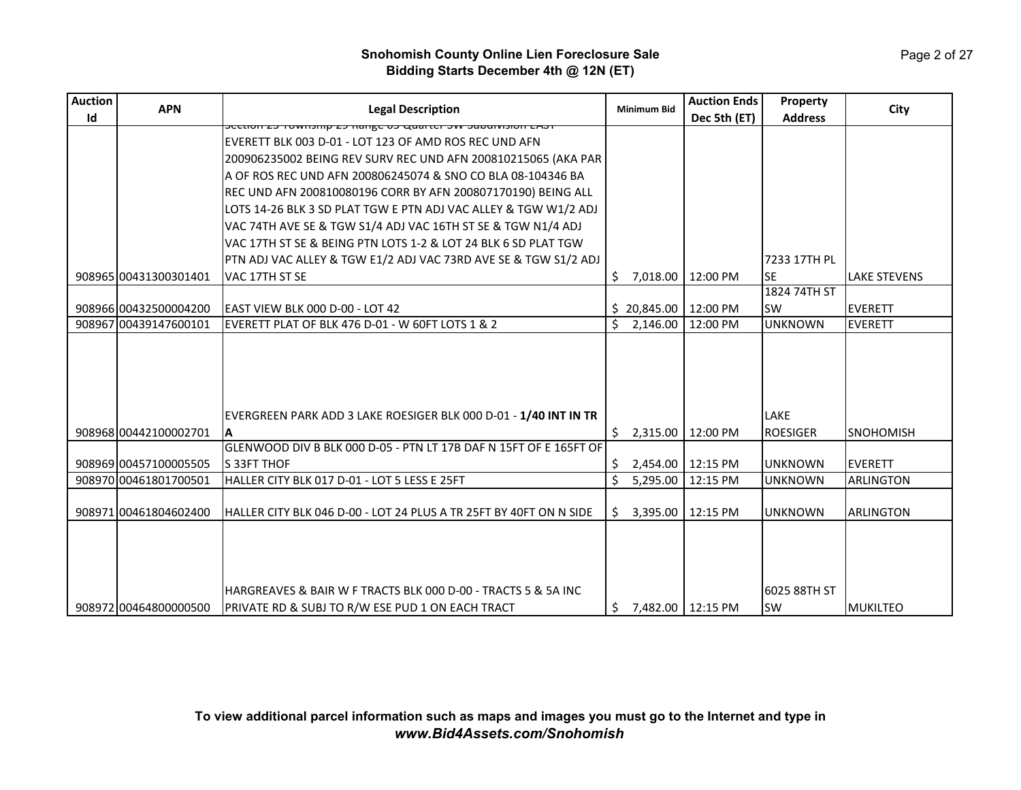| <b>Auction</b> | <b>APN</b>            | <b>Legal Description</b>                                                                                          | <b>Minimum Bid</b>        | <b>Auction Ends</b> | Property            | City                |
|----------------|-----------------------|-------------------------------------------------------------------------------------------------------------------|---------------------------|---------------------|---------------------|---------------------|
| Id             |                       | <u>וכאש ווסומטוסטיס איז ואומא כט אַזוואַזו כש מווזמווינדע ווסואכ</u>                                              |                           | Dec 5th (ET)        | <b>Address</b>      |                     |
|                |                       | EVERETT BLK 003 D-01 - LOT 123 OF AMD ROS REC UND AFN                                                             |                           |                     |                     |                     |
|                |                       | 200906235002 BEING REV SURV REC UND AFN 200810215065 (AKA PAR                                                     |                           |                     |                     |                     |
|                |                       | A OF ROS REC UND AFN 200806245074 & SNO CO BLA 08-104346 BA                                                       |                           |                     |                     |                     |
|                |                       | REC UND AFN 200810080196 CORR BY AFN 200807170190) BEING ALL                                                      |                           |                     |                     |                     |
|                |                       | LOTS 14-26 BLK 3 SD PLAT TGW E PTN ADJ VAC ALLEY & TGW W1/2 ADJ                                                   |                           |                     |                     |                     |
|                |                       | VAC 74TH AVE SE & TGW S1/4 ADJ VAC 16TH ST SE & TGW N1/4 ADJ                                                      |                           |                     |                     |                     |
|                |                       | VAC 17TH ST SE & BEING PTN LOTS 1-2 & LOT 24 BLK 6 SD PLAT TGW                                                    |                           |                     |                     |                     |
|                |                       | PTN ADJ VAC ALLEY & TGW E1/2 ADJ VAC 73RD AVE SE & TGW S1/2 ADJ                                                   |                           |                     | 7233 17TH PL        |                     |
|                | 908965 00431300301401 | VAC 17TH ST SE                                                                                                    | \$<br>7,018.00            | 12:00 PM            | <b>SE</b>           | <b>LAKE STEVENS</b> |
|                |                       |                                                                                                                   |                           |                     | 1824 74TH ST        |                     |
|                | 908966 00432500004200 | EAST VIEW BLK 000 D-00 - LOT 42                                                                                   | $$20,845.00$   12:00 PM   |                     | lsw                 | <b>EVERETT</b>      |
|                | 908967 00439147600101 | EVERETT PLAT OF BLK 476 D-01 - W 60FT LOTS 1 & 2                                                                  | Ś.<br>2,146.00            | 12:00 PM            | <b>UNKNOWN</b>      | <b>EVERETT</b>      |
|                |                       |                                                                                                                   |                           |                     |                     |                     |
|                |                       |                                                                                                                   |                           |                     |                     |                     |
|                |                       |                                                                                                                   |                           |                     |                     |                     |
|                |                       |                                                                                                                   |                           |                     |                     |                     |
|                |                       | EVERGREEN PARK ADD 3 LAKE ROESIGER BLK 000 D-01 - 1/40 INT IN TR                                                  |                           |                     | LAKE                |                     |
|                | 908968 00442100002701 | $\mathbf{A}$                                                                                                      | 2,315.00<br>\$.           | 12:00 PM            | <b>ROESIGER</b>     | SNOHOMISH           |
|                |                       | GLENWOOD DIV B BLK 000 D-05 - PTN LT 17B DAF N 15FT OF E 165FT OF                                                 |                           |                     |                     |                     |
|                | 908969 00457100005505 | S 33FT THOF                                                                                                       | 2,454.00 12:15 PM<br>Ŝ.   |                     | <b>UNKNOWN</b>      | <b>EVERETT</b>      |
|                | 908970 00461801700501 | HALLER CITY BLK 017 D-01 - LOT 5 LESS E 25FT                                                                      | Ś.<br>5,295.00            | 12:15 PM            | <b>UNKNOWN</b>      | <b>ARLINGTON</b>    |
|                |                       |                                                                                                                   |                           |                     |                     |                     |
|                | 908971 00461804602400 | HALLER CITY BLK 046 D-00 - LOT 24 PLUS A TR 25FT BY 40FT ON N SIDE                                                | \$<br>3,395.00            | 12:15 PM            | <b>UNKNOWN</b>      | <b>ARLINGTON</b>    |
|                |                       |                                                                                                                   |                           |                     |                     |                     |
|                |                       |                                                                                                                   |                           |                     |                     |                     |
|                |                       |                                                                                                                   |                           |                     |                     |                     |
|                |                       |                                                                                                                   |                           |                     |                     |                     |
|                |                       |                                                                                                                   |                           |                     |                     |                     |
|                | 908972 00464800000500 | HARGREAVES & BAIR W F TRACTS BLK 000 D-00 - TRACTS 5 & 5A INC<br>PRIVATE RD & SUBJ TO R/W ESE PUD 1 ON EACH TRACT | \$<br>7.482.00   12:15 PM |                     | 6025 88TH ST<br>lsw | MUKILTEO            |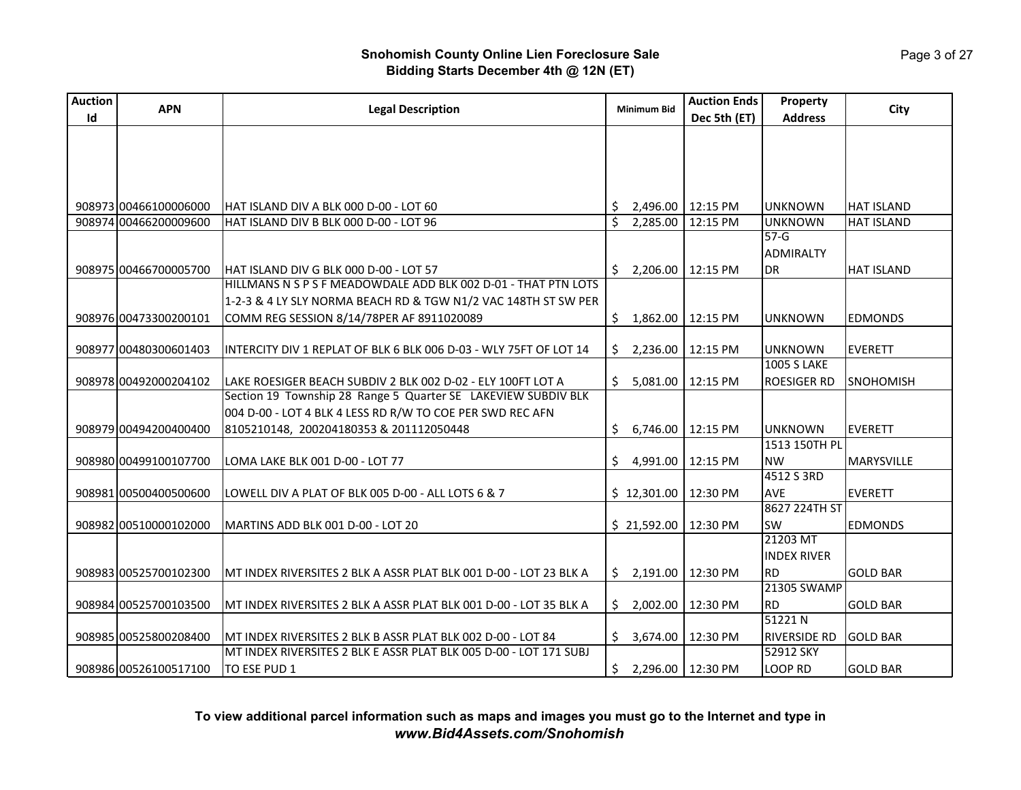| <b>Auction</b> | <b>APN</b>            |                                                                   | <b>Minimum Bid</b>                  | <b>Auction Ends</b> | <b>Property</b>     |                   |
|----------------|-----------------------|-------------------------------------------------------------------|-------------------------------------|---------------------|---------------------|-------------------|
| Id             |                       | <b>Legal Description</b>                                          |                                     | Dec 5th (ET)        | <b>Address</b>      | City              |
|                |                       |                                                                   |                                     |                     |                     |                   |
|                |                       |                                                                   |                                     |                     |                     |                   |
|                |                       |                                                                   |                                     |                     |                     |                   |
|                |                       |                                                                   |                                     |                     |                     |                   |
|                | 908973 00466100006000 | HAT ISLAND DIV A BLK 000 D-00 - LOT 60                            | 2,496.00<br>S.                      | 12:15 PM            | <b>UNKNOWN</b>      | <b>HAT ISLAND</b> |
|                | 908974 00466200009600 | HAT ISLAND DIV B BLK 000 D-00 - LOT 96                            | Ś.<br>2,285.00                      | 12:15 PM            | <b>UNKNOWN</b>      | HAT ISLAND        |
|                |                       |                                                                   |                                     |                     | $57-G$              |                   |
|                |                       |                                                                   |                                     |                     | <b>ADMIRALTY</b>    |                   |
|                | 908975 00466700005700 | HAT ISLAND DIV G BLK 000 D-00 - LOT 57                            | 2,206.00<br>Ś.                      | 12:15 PM            | DR                  | <b>HAT ISLAND</b> |
|                |                       | HILLMANS N S P S F MEADOWDALE ADD BLK 002 D-01 - THAT PTN LOTS    |                                     |                     |                     |                   |
|                |                       | 1-2-3 & 4 LY SLY NORMA BEACH RD & TGW N1/2 VAC 148TH ST SW PER    |                                     |                     |                     |                   |
|                | 908976 00473300200101 | COMM REG SESSION 8/14/78PER AF 8911020089                         | \$<br>1,862.00 12:15 PM             |                     | <b>UNKNOWN</b>      | <b>EDMONDS</b>    |
|                |                       |                                                                   |                                     |                     |                     |                   |
|                | 908977 00480300601403 | INTERCITY DIV 1 REPLAT OF BLK 6 BLK 006 D-03 - WLY 75FT OF LOT 14 | \$.<br>2,236.00                     | 12:15 PM            | <b>UNKNOWN</b>      | <b>EVERETT</b>    |
|                |                       |                                                                   |                                     |                     | <b>1005 S LAKE</b>  |                   |
|                | 908978 00492000204102 | LAKE ROESIGER BEACH SUBDIV 2 BLK 002 D-02 - ELY 100FT LOT A       | \$<br>5,081.00                      | 12:15 PM            | <b>ROESIGER RD</b>  | SNOHOMISH         |
|                |                       | Section 19 Township 28 Range 5 Quarter SE LAKEVIEW SUBDIV BLK     |                                     |                     |                     |                   |
|                |                       | 004 D-00 - LOT 4 BLK 4 LESS RD R/W TO COE PER SWD REC AFN         |                                     |                     |                     |                   |
|                | 908979 00494200400400 | 8105210148, 200204180353 & 201112050448                           | \$.<br>6,746.00                     | 12:15 PM            | <b>UNKNOWN</b>      | <b>EVERETT</b>    |
|                |                       |                                                                   |                                     |                     | 1513 150TH PL       |                   |
|                | 908980 00499100107700 | LOMA LAKE BLK 001 D-00 - LOT 77                                   | \$<br>4,991.00                      | 12:15 PM            | <b>NW</b>           | MARYSVILLE        |
|                |                       |                                                                   |                                     |                     | 4512 S 3RD          |                   |
|                | 908981 00500400500600 | LOWELL DIV A PLAT OF BLK 005 D-00 - ALL LOTS 6 & 7                | $$12,301.00$   12:30 PM             |                     | <b>AVE</b>          | <b>EVERETT</b>    |
|                |                       |                                                                   |                                     |                     | 8627 224TH ST       |                   |
|                | 908982 00510000102000 | MARTINS ADD BLK 001 D-00 - LOT 20                                 | \$21,592.00                         | 12:30 PM            | <b>SW</b>           | <b>EDMONDS</b>    |
|                |                       |                                                                   |                                     |                     | 21203 MT            |                   |
|                |                       |                                                                   |                                     |                     | <b>INDEX RIVER</b>  |                   |
|                | 908983 00525700102300 | MT INDEX RIVERSITES 2 BLK A ASSR PLAT BLK 001 D-00 - LOT 23 BLK A | \$2,191.00                          | 12:30 PM            | <b>RD</b>           | <b>GOLD BAR</b>   |
|                |                       |                                                                   |                                     |                     | 21305 SWAMP         |                   |
|                | 908984 00525700103500 | MT INDEX RIVERSITES 2 BLK A ASSR PLAT BLK 001 D-00 - LOT 35 BLK A | 2,002.00<br>\$.                     | 12:30 PM            | RD.                 | <b>GOLD BAR</b>   |
|                |                       |                                                                   |                                     |                     | 51221 N             |                   |
|                | 908985 00525800208400 | MT INDEX RIVERSITES 2 BLK B ASSR PLAT BLK 002 D-00 - LOT 84       | 3,674.00 12:30 PM<br>Ŝ.             |                     | <b>RIVERSIDE RD</b> | <b>GOLD BAR</b>   |
|                |                       | MT INDEX RIVERSITES 2 BLK E ASSR PLAT BLK 005 D-00 - LOT 171 SUBJ |                                     |                     | 52912 SKY           |                   |
|                | 908986 00526100517100 | TO ESE PUD 1                                                      | $\frac{1}{2}$ , 2,296.00   12:30 PM |                     | LOOP RD             | <b>GOLD BAR</b>   |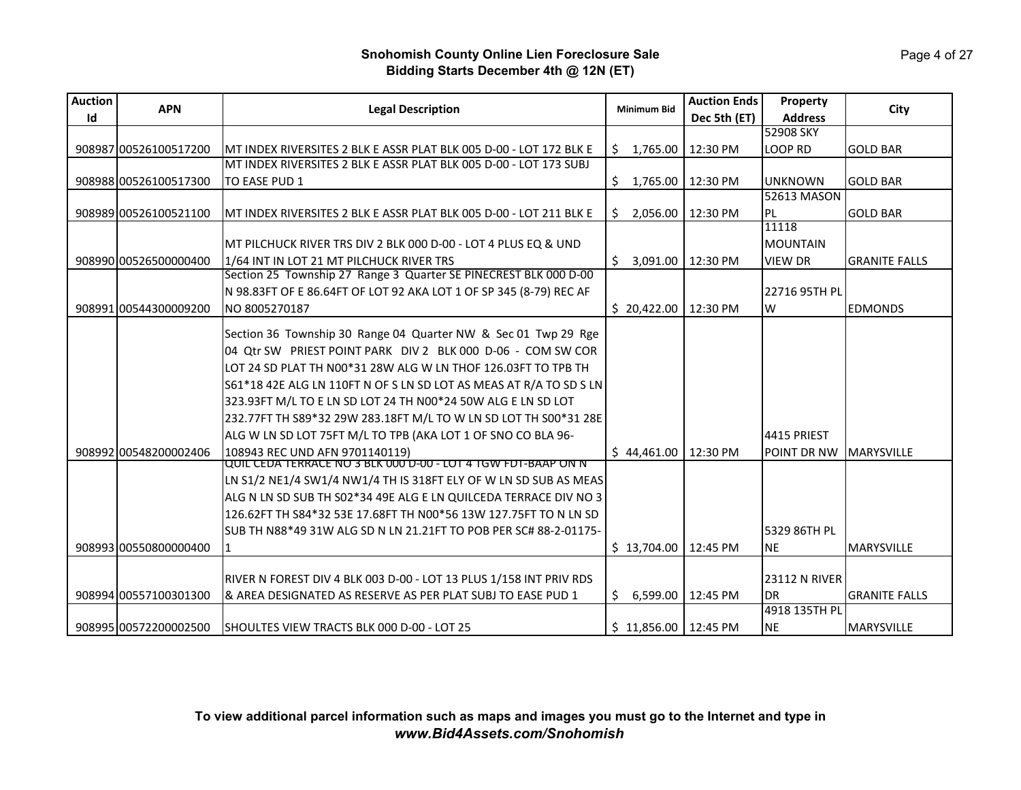| <b>Auction</b> | <b>APN</b><br><b>Legal Description</b> |                                                                    | <b>Minimum Bid</b>     | <b>Auction Ends</b> | Property        | City                 |
|----------------|----------------------------------------|--------------------------------------------------------------------|------------------------|---------------------|-----------------|----------------------|
| Id             |                                        |                                                                    |                        | Dec 5th (ET)        | <b>Address</b>  |                      |
|                |                                        |                                                                    |                        |                     | 52908 SKY       |                      |
|                | 908987 00526100517200                  | MT INDEX RIVERSITES 2 BLK E ASSR PLAT BLK 005 D-00 - LOT 172 BLK E | \$1,765.00             | 12:30 PM            | LOOP RD         | <b>GOLD BAR</b>      |
|                |                                        | MT INDEX RIVERSITES 2 BLK E ASSR PLAT BLK 005 D-00 - LOT 173 SUBJ  |                        |                     |                 |                      |
|                | 908988 00526100517300                  | TO EASE PUD 1                                                      | \$<br>1,765.00         | 12:30 PM            | <b>UNKNOWN</b>  | <b>GOLD BAR</b>      |
|                |                                        |                                                                    |                        |                     | 52613 MASON     |                      |
|                | 908989 00526100521100                  | MT INDEX RIVERSITES 2 BLK E ASSR PLAT BLK 005 D-00 - LOT 211 BLK E | \$<br>2,056.00         | 12:30 PM            | PL              | <b>GOLD BAR</b>      |
|                |                                        |                                                                    |                        |                     | 11118           |                      |
|                |                                        | MT PILCHUCK RIVER TRS DIV 2 BLK 000 D-00 - LOT 4 PLUS EQ & UND     |                        |                     | <b>MOUNTAIN</b> |                      |
|                | 908990 00526500000400                  | 1/64 INT IN LOT 21 MT PILCHUCK RIVER TRS                           | \$.<br>3,091.00        | 12:30 PM            | <b>VIEW DR</b>  | <b>GRANITE FALLS</b> |
|                |                                        | Section 25 Township 27 Range 3 Quarter SE PINECREST BLK 000 D-00   |                        |                     |                 |                      |
|                |                                        | N 98.83FT OF E 86.64FT OF LOT 92 AKA LOT 1 OF SP 345 (8-79) REC AF |                        |                     | 22716 95TH PL   |                      |
|                | 908991 00544300009200                  | NO 8005270187                                                      | \$20,422.00            | 12:30 PM            | W               | <b>EDMONDS</b>       |
|                |                                        | Section 36 Township 30 Range 04 Quarter NW & Sec 01 Twp 29 Rge     |                        |                     |                 |                      |
|                |                                        | 04 Qtr SW PRIEST POINT PARK DIV 2 BLK 000 D-06 - COM SW COR        |                        |                     |                 |                      |
|                |                                        | LOT 24 SD PLAT TH N00*31 28W ALG W LN THOF 126.03FT TO TPB TH      |                        |                     |                 |                      |
|                |                                        | S61*18 42E ALG LN 110FT N OF S LN SD LOT AS MEAS AT R/A TO SD S LN |                        |                     |                 |                      |
|                |                                        | 323.93FT M/L TO E LN SD LOT 24 TH N00*24 50W ALG E LN SD LOT       |                        |                     |                 |                      |
|                |                                        | 232.77FT TH S89*32 29W 283.18FT M/L TO W LN SD LOT TH S00*31 28E   |                        |                     |                 |                      |
|                |                                        | ALG W LN SD LOT 75FT M/L TO TPB (AKA LOT 1 OF SNO CO BLA 96-       |                        |                     | 4415 PRIEST     |                      |
|                | 908992 00548200002406                  | 108943 REC UND AFN 9701140119)                                     | \$44,461.00            | 12:30 PM            | POINT DR NW     | <b>MARYSVILLE</b>    |
|                |                                        | QUIL CEDA TERRACE NO 3 BLK 000 D-00 - LOT 4 TGW FDT-BAAP ON N      |                        |                     |                 |                      |
|                |                                        | LN S1/2 NE1/4 SW1/4 NW1/4 TH IS 318FT ELY OF W LN SD SUB AS MEAS   |                        |                     |                 |                      |
|                |                                        | ALG N LN SD SUB TH S02*34 49E ALG E LN QUILCEDA TERRACE DIV NO 3   |                        |                     |                 |                      |
|                |                                        | 126.62FT TH S84*32 53E 17.68FT TH N00*56 13W 127.75FT TO N LN SD   |                        |                     |                 |                      |
|                |                                        | SUB TH N88*49 31W ALG SD N LN 21.21FT TO POB PER SC# 88-2-01175-   |                        |                     | 5329 86TH PL    |                      |
|                | 908993 00550800000400                  | $\vert$ 1                                                          | \$13,704.00            | 12:45 PM            | <b>NE</b>       | <b>MARYSVILLE</b>    |
|                |                                        |                                                                    |                        |                     |                 |                      |
|                |                                        | RIVER N FOREST DIV 4 BLK 003 D-00 - LOT 13 PLUS 1/158 INT PRIV RDS |                        |                     | 23112 N RIVER   |                      |
|                | 908994 00557100301300                  | & AREA DESIGNATED AS RESERVE AS PER PLAT SUBJ TO EASE PUD 1        | Ś.<br>6,599.00         | 12:45 PM            | <b>DR</b>       | <b>GRANITE FALLS</b> |
|                |                                        |                                                                    |                        |                     | 4918 135TH PL   |                      |
|                | 908995100572200002500                  | SHOULTES VIEW TRACTS BLK 000 D-00 - LOT 25                         | \$11,856.00   12:45 PM |                     | <b>NE</b>       | <b>MARYSVILLE</b>    |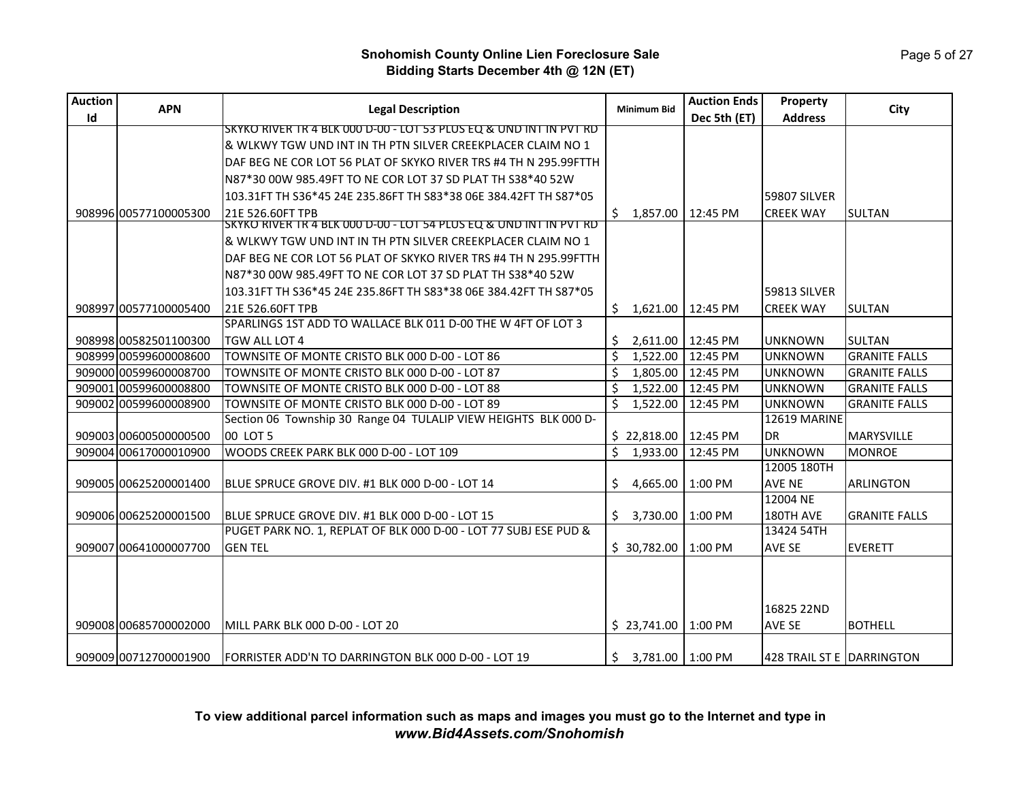Page 5 of 27

## **Snohomish County Online Lien Foreclosure Sale Bidding Starts December 4th @ 12N (ET)**

| <b>Auction</b> | <b>APN</b>            | <b>Legal Description</b>                                                       | <b>Minimum Bid</b>       | <b>Auction Ends</b> | Property                  | City                 |
|----------------|-----------------------|--------------------------------------------------------------------------------|--------------------------|---------------------|---------------------------|----------------------|
| Id             |                       |                                                                                |                          | Dec 5th (ET)        | <b>Address</b>            |                      |
|                |                       | SKYKO RIVER TR 4 BLK 000 D-00 - LOT 53 PLUS EQ & UND INT IN PVT RD             |                          |                     |                           |                      |
|                |                       | & WLKWY TGW UND INT IN TH PTN SILVER CREEKPLACER CLAIM NO 1                    |                          |                     |                           |                      |
|                |                       | DAF BEG NE COR LOT 56 PLAT OF SKYKO RIVER TRS #4 TH N 295.99FTTH               |                          |                     |                           |                      |
|                |                       | N87*30 00W 985.49FT TO NE COR LOT 37 SD PLAT TH S38*40 52W                     |                          |                     |                           |                      |
|                |                       | 103.31FT TH S36*45 24E 235.86FT TH S83*38 06E 384.42FT TH S87*05               |                          |                     | 59807 SILVER              |                      |
|                | 908996100577100005300 | 21E 526.60FT TPB                                                               | Ś.<br>1,857.00           | 12:45 PM            | <b>CREEK WAY</b>          | <b>SULTAN</b>        |
|                |                       | <u> SKYKO RIVER TR 4 BLK 000 D-00 - LOT 54 PLUS EQ &amp; UND INT IN PVT RD</u> |                          |                     |                           |                      |
|                |                       | & WLKWY TGW UND INT IN TH PTN SILVER CREEKPLACER CLAIM NO 1                    |                          |                     |                           |                      |
|                |                       | DAF BEG NE COR LOT 56 PLAT OF SKYKO RIVER TRS #4 TH N 295.99FTTH               |                          |                     |                           |                      |
|                |                       | N87*30 00W 985.49FT TO NE COR LOT 37 SD PLAT TH S38*40 52W                     |                          |                     |                           |                      |
|                |                       | 103.31FT TH S36*45 24E 235.86FT TH S83*38 06E 384.42FT TH S87*05               |                          |                     | 59813 SILVER              |                      |
|                | 908997 00577100005400 | 21E 526.60FT TPB                                                               | \$.<br>1,621.00          | 12:45 PM            | <b>CREEK WAY</b>          | <b>SULTAN</b>        |
|                |                       | SPARLINGS 1ST ADD TO WALLACE BLK 011 D-00 THE W 4FT OF LOT 3                   |                          |                     |                           |                      |
|                | 908998 00582501100300 | TGW ALL LOT 4                                                                  | \$<br>2,611.00           | 12:45 PM            | <b>UNKNOWN</b>            | <b>SULTAN</b>        |
|                | 908999 00599600008600 | TOWNSITE OF MONTE CRISTO BLK 000 D-00 - LOT 86                                 | \$<br>1.522.00           | 12:45 PM            | <b>UNKNOWN</b>            | <b>GRANITE FALLS</b> |
|                | 909000 00599600008700 | TOWNSITE OF MONTE CRISTO BLK 000 D-00 - LOT 87                                 | \$<br>1,805.00           | 12:45 PM            | <b>UNKNOWN</b>            | <b>GRANITE FALLS</b> |
|                | 909001 00599600008800 | TOWNSITE OF MONTE CRISTO BLK 000 D-00 - LOT 88                                 | \$<br>1,522.00           | 12:45 PM            | <b>UNKNOWN</b>            | <b>GRANITE FALLS</b> |
|                | 909002 00599600008900 | TOWNSITE OF MONTE CRISTO BLK 000 D-00 - LOT 89                                 | \$<br>1,522.00           | 12:45 PM            | <b>UNKNOWN</b>            | <b>GRANITE FALLS</b> |
|                |                       | Section 06 Township 30 Range 04 TULALIP VIEW HEIGHTS BLK 000 D-                |                          |                     | 12619 MARINE              |                      |
|                | 909003 00600500000500 | 00 LOT 5                                                                       | \$22,818.00              | 12:45 PM            | <b>DR</b>                 | <b>MARYSVILLE</b>    |
|                | 909004 00617000010900 | WOODS CREEK PARK BLK 000 D-00 - LOT 109                                        | \$<br>1,933.00           | 12:45 PM            | <b>UNKNOWN</b>            | <b>MONROE</b>        |
|                |                       |                                                                                |                          |                     | 12005 180TH               |                      |
|                | 909005 00625200001400 | BLUE SPRUCE GROVE DIV. #1 BLK 000 D-00 - LOT 14                                | \$<br>4,665.00           | 1:00 PM             | <b>AVE NE</b>             | <b>ARLINGTON</b>     |
|                |                       |                                                                                |                          |                     | 12004 NE                  |                      |
|                | 909006 00625200001500 | BLUE SPRUCE GROVE DIV. #1 BLK 000 D-00 - LOT 15                                | Ś.<br>3,730.00           | 1:00 PM             | 180TH AVE                 | <b>GRANITE FALLS</b> |
|                |                       | PUGET PARK NO. 1, REPLAT OF BLK 000 D-00 - LOT 77 SUBJ ESE PUD &               |                          |                     | 13424 54TH                |                      |
|                | 909007 00641000007700 | <b>GENTEL</b>                                                                  | \$30,782.00              | 1:00 PM             | AVE SE                    | <b>EVERETT</b>       |
|                |                       |                                                                                |                          |                     |                           |                      |
|                |                       |                                                                                |                          |                     |                           |                      |
|                |                       |                                                                                |                          |                     |                           |                      |
|                |                       |                                                                                |                          |                     | 16825 22ND                |                      |
|                | 909008 00685700002000 | MILL PARK BLK 000 D-00 - LOT 20                                                | \$23,741.00              | 1:00 PM             | AVE SE                    | <b>BOTHELL</b>       |
|                |                       |                                                                                |                          |                     |                           |                      |
|                | 909009 00712700001900 | FORRISTER ADD'N TO DARRINGTON BLK 000 D-00 - LOT 19                            | \$<br>3,781.00   1:00 PM |                     | 428 TRAIL ST E DARRINGTON |                      |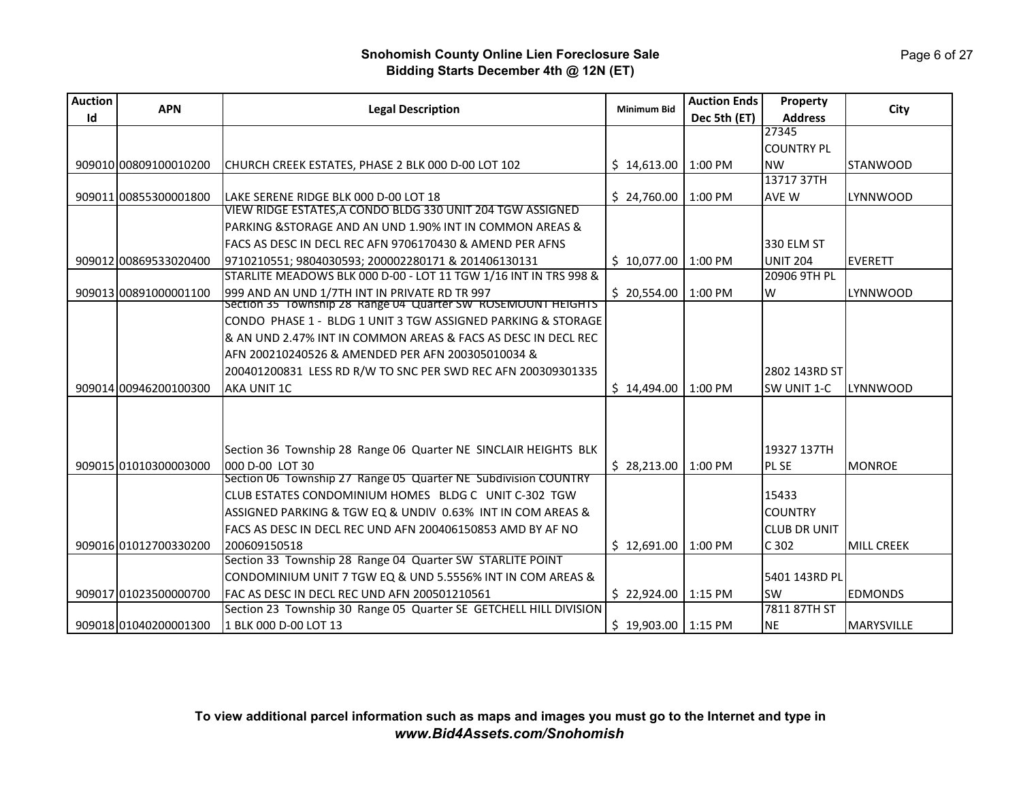| <b>Auction</b> | <b>APN</b>            | <b>Legal Description</b>                                                          | <b>Minimum Bid</b>     | <b>Auction Ends</b> | Property            | City              |
|----------------|-----------------------|-----------------------------------------------------------------------------------|------------------------|---------------------|---------------------|-------------------|
| Id             |                       |                                                                                   |                        | Dec 5th (ET)        | <b>Address</b>      |                   |
|                |                       |                                                                                   |                        |                     | 27345               |                   |
|                |                       |                                                                                   |                        |                     | <b>COUNTRY PL</b>   |                   |
|                | 909010 00809100010200 | CHURCH CREEK ESTATES, PHASE 2 BLK 000 D-00 LOT 102                                | \$14,613.00   1:00 P M |                     | <b>NW</b>           | <b>STANWOOD</b>   |
|                |                       |                                                                                   |                        |                     | 13717 37TH          |                   |
|                | 909011 00855300001800 | LAKE SERENE RIDGE BLK 000 D-00 LOT 18                                             | \$24,760.00            | 1:00 PM             | AVE W               | LYNNWOOD          |
|                |                       | VIEW RIDGE ESTATES, A CONDO BLDG 330 UNIT 204 TGW ASSIGNED                        |                        |                     |                     |                   |
|                |                       | PARKING &STORAGE AND AN UND 1.90% INT IN COMMON AREAS &                           |                        |                     |                     |                   |
|                |                       | FACS AS DESC IN DECL REC AFN 9706170430 & AMEND PER AFNS                          |                        |                     | 330 ELM ST          |                   |
|                | 909012 00869533020400 | 9710210551; 9804030593; 200002280171 & 201406130131                               | \$10,077.00   1:00 P M |                     | <b>UNIT 204</b>     | <b>EVERETT</b>    |
|                |                       | STARLITE MEADOWS BLK 000 D-00 - LOT 11 TGW 1/16 INT IN TRS 998 &                  |                        |                     | 20906 9TH PL        |                   |
|                | 909013 00891000001100 | 999 AND AN UND 1/7TH INT IN PRIVATE RD TR 997                                     | \$20,554.00            | 1:00 PM             | W                   | LYNNWOOD          |
|                |                       | Section 35 Township 28 Range 04 Quarter SW ROSEMOUNT HEIGHTS                      |                        |                     |                     |                   |
|                |                       | CONDO PHASE 1 - BLDG 1 UNIT 3 TGW ASSIGNED PARKING & STORAGE                      |                        |                     |                     |                   |
|                |                       | 8 AN UND 2.47% INT IN COMMON AREAS & FACS AS DESC IN DECL REC                     |                        |                     |                     |                   |
|                |                       | AFN 200210240526 & AMENDED PER AFN 200305010034 &                                 |                        |                     |                     |                   |
|                |                       | 200401200831 LESS RD R/W TO SNC PER SWD REC AFN 200309301335                      |                        |                     | 2802 143RD ST       |                   |
|                | 909014 00946200100300 | AKA UNIT 1C                                                                       | $$14,494.00$ 1:00 PM   |                     | SW UNIT 1-C         | <b>LYNNWOOD</b>   |
|                |                       |                                                                                   |                        |                     |                     |                   |
|                |                       |                                                                                   |                        |                     |                     |                   |
|                |                       |                                                                                   |                        |                     |                     |                   |
|                |                       | Section 36 Township 28 Range 06 Quarter NE SINCLAIR HEIGHTS BLK                   |                        |                     | 19327 137TH         |                   |
|                | 909015 01010300003000 | 000 D-00 LOT 30<br>Section 06 Township 27 Range 05 Quarter NE Subdivision COUNTRY | \$28,213.00            | 1:00 PM             | PL SE               | <b>MONROE</b>     |
|                |                       | CLUB ESTATES CONDOMINIUM HOMES BLDG C UNIT C-302 TGW                              |                        |                     |                     |                   |
|                |                       |                                                                                   |                        |                     | 15433               |                   |
|                |                       | ASSIGNED PARKING & TGW EQ & UNDIV 0.63% INT IN COM AREAS &                        |                        |                     | <b>COUNTRY</b>      |                   |
|                |                       | FACS AS DESC IN DECL REC UND AFN 200406150853 AMD BY AF NO                        |                        |                     | <b>CLUB DR UNIT</b> |                   |
|                | 909016 01012700330200 | 200609150518                                                                      | \$12,691.00            | 1:00 PM             | C 302               | <b>MILL CREEK</b> |
|                |                       | Section 33 Township 28 Range 04 Quarter SW STARLITE POINT                         |                        |                     |                     |                   |
|                |                       | CONDOMINIUM UNIT 7 TGW EQ & UND 5.5556% INT IN COM AREAS &                        |                        |                     | 5401 143RD PL       |                   |
|                | 909017 01023500000700 | FAC AS DESC IN DECL REC UND AFN 200501210561                                      | $$22,924.00$ 1:15 PM   |                     | <b>SW</b>           | <b>EDMONDS</b>    |
|                |                       | Section 23 Township 30 Range 05 Quarter SE GETCHELL HILL DIVISION                 |                        |                     | 7811 87TH ST        |                   |
|                | 909018 01040200001300 | 1 BLK 000 D-00 LOT 13                                                             | $$19,903.00$   1:15 PM |                     | <b>NE</b>           | <b>MARYSVILLE</b> |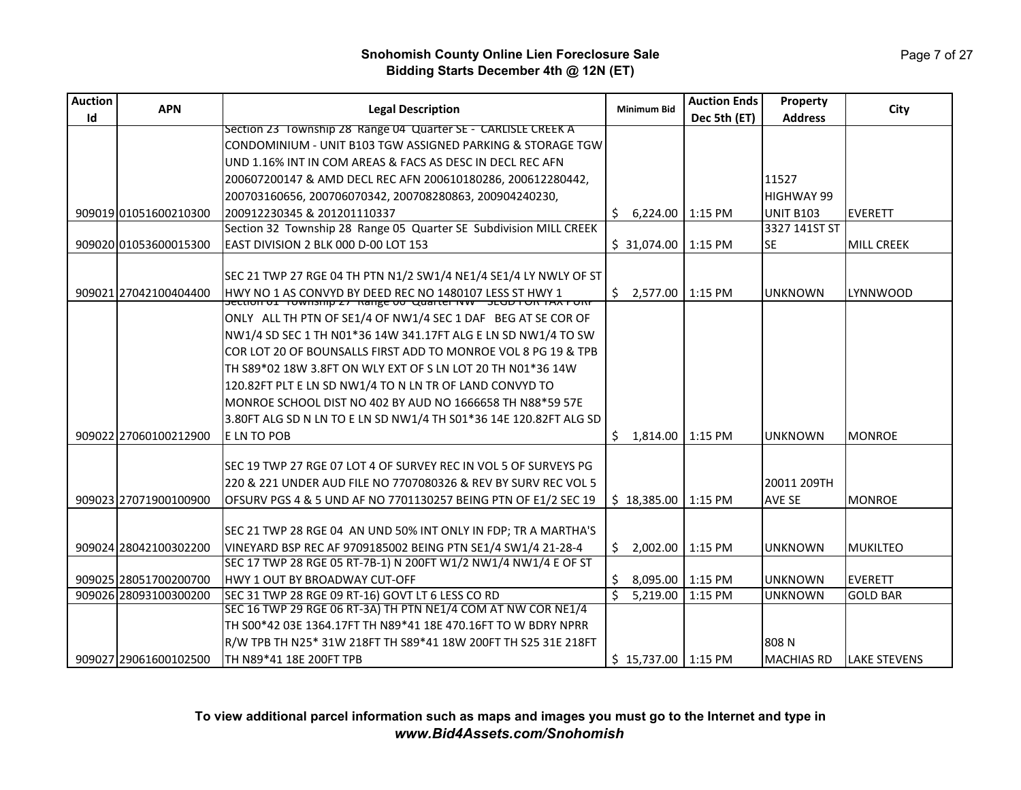Page 7 of 27

| Id<br><b>Address</b><br>Dec 5th (ET)<br>Section 23 Township 28 Range 04 Quarter SE - CARLISLE CREEK A<br>CONDOMINIUM - UNIT B103 TGW ASSIGNED PARKING & STORAGE TGW<br>UND 1.16% INT IN COM AREAS & FACS AS DESC IN DECL REC AFN<br>11527<br>200607200147 & AMD DECL REC AFN 200610180286, 200612280442,<br>200703160656, 200706070342, 200708280863, 200904240230,<br><b>HIGHWAY 99</b><br><b>UNIT B103</b><br>909019 01051600210300<br>200912230345 & 201201110337<br>6,224.00<br>1:15 PM<br><b>EVERETT</b><br>S.<br>Section 32 Township 28 Range 05 Quarter SE Subdivision MILL CREEK<br>3327 141ST ST<br>EAST DIVISION 2 BLK 000 D-00 LOT 153<br>909020 01053600015300<br>\$31,074.00<br>1:15 PM<br>lse.<br><b>MILL CREEK</b><br>SEC 21 TWP 27 RGE 04 TH PTN N1/2 SW1/4 NE1/4 SE1/4 LY NWLY OF ST<br>909021 27042100404400<br>HWY NO 1 AS CONVYD BY DEED REC NO 1480107 LESS ST HWY 1<br> Section of Trownship 27   Kange oo   Quarter NW   SeGD FOR TAX PORP<br>\$<br>2,577.00<br>1:15 PM<br>LYNNWOOD<br><b>UNKNOWN</b><br>ONLY ALL TH PTN OF SE1/4 OF NW1/4 SEC 1 DAF BEG AT SE COR OF<br>NW1/4 SD SEC 1 TH N01*36 14W 341.17FT ALG E LN SD NW1/4 TO SW<br>COR LOT 20 OF BOUNSALLS FIRST ADD TO MONROE VOL 8 PG 19 & TPB<br>TH S89*02 18W 3.8FT ON WLY EXT OF S LN LOT 20 TH N01*36 14W<br>120.82FT PLT E LN SD NW1/4 TO N LN TR OF LAND CONVYD TO<br>MONROE SCHOOL DIST NO 402 BY AUD NO 1666658 TH N88*59 57E<br>3.80FT ALG SD N LN TO E LN SD NW1/4 TH S01*36 14E 120.82FT ALG SD<br>909022 27060100212900<br>E LN TO POB<br>Ŝ.<br>$1:15$ PM<br><b>MONROE</b><br>1,814.00<br><b>UNKNOWN</b><br>SEC 19 TWP 27 RGE 07 LOT 4 OF SURVEY REC IN VOL 5 OF SURVEYS PG<br>20011 209TH<br>220 & 221 UNDER AUD FILE NO 7707080326 & REV BY SURV REC VOL 5<br>909023 27071900100900<br>OFSURV PGS 4 & 5 UND AF NO 7701130257 BEING PTN OF E1/2 SEC 19<br>\$18,385.00<br>$1:15$ PM<br>AVE SE<br><b>MONROE</b><br>SEC 21 TWP 28 RGE 04 AN UND 50% INT ONLY IN FDP; TR A MARTHA'S<br>VINEYARD BSP REC AF 9709185002 BEING PTN SE1/4 SW1/4 21-28-4<br>909024 28042100302200<br>Ŝ.<br>2.002.00   1:15 PM<br>MUKILTEO<br><b>UNKNOWN</b><br>SEC 17 TWP 28 RGE 05 RT-7B-1) N 200FT W1/2 NW1/4 NW1/4 E OF ST<br>909025 28051700200700<br>HWY 1 OUT BY BROADWAY CUT-OFF<br>\$<br>8,095.00<br>1:15 PM<br><b>EVERETT</b><br><b>UNKNOWN</b><br>Ś.<br>909026 28093100300200<br>5,219.00<br>1:15 PM<br><b>GOLD BAR</b><br>SEC 31 TWP 28 RGE 09 RT-16) GOVT LT 6 LESS CO RD<br><b>UNKNOWN</b> | <b>Auction</b> | <b>APN</b> | <b>Legal Description</b>                                     |                    | <b>Auction Ends</b> | Property |      |
|-----------------------------------------------------------------------------------------------------------------------------------------------------------------------------------------------------------------------------------------------------------------------------------------------------------------------------------------------------------------------------------------------------------------------------------------------------------------------------------------------------------------------------------------------------------------------------------------------------------------------------------------------------------------------------------------------------------------------------------------------------------------------------------------------------------------------------------------------------------------------------------------------------------------------------------------------------------------------------------------------------------------------------------------------------------------------------------------------------------------------------------------------------------------------------------------------------------------------------------------------------------------------------------------------------------------------------------------------------------------------------------------------------------------------------------------------------------------------------------------------------------------------------------------------------------------------------------------------------------------------------------------------------------------------------------------------------------------------------------------------------------------------------------------------------------------------------------------------------------------------------------------------------------------------------------------------------------------------------------------------------------------------------------------------------------------------------------------------------------------------------------------------------------------------------------------------------------------------------------------------------------------------------------------------------------------------------------------------------------------------------------------------------------------------------------------------------------------------------|----------------|------------|--------------------------------------------------------------|--------------------|---------------------|----------|------|
|                                                                                                                                                                                                                                                                                                                                                                                                                                                                                                                                                                                                                                                                                                                                                                                                                                                                                                                                                                                                                                                                                                                                                                                                                                                                                                                                                                                                                                                                                                                                                                                                                                                                                                                                                                                                                                                                                                                                                                                                                                                                                                                                                                                                                                                                                                                                                                                                                                                                             |                |            |                                                              | <b>Minimum Bid</b> |                     |          | City |
|                                                                                                                                                                                                                                                                                                                                                                                                                                                                                                                                                                                                                                                                                                                                                                                                                                                                                                                                                                                                                                                                                                                                                                                                                                                                                                                                                                                                                                                                                                                                                                                                                                                                                                                                                                                                                                                                                                                                                                                                                                                                                                                                                                                                                                                                                                                                                                                                                                                                             |                |            |                                                              |                    |                     |          |      |
|                                                                                                                                                                                                                                                                                                                                                                                                                                                                                                                                                                                                                                                                                                                                                                                                                                                                                                                                                                                                                                                                                                                                                                                                                                                                                                                                                                                                                                                                                                                                                                                                                                                                                                                                                                                                                                                                                                                                                                                                                                                                                                                                                                                                                                                                                                                                                                                                                                                                             |                |            |                                                              |                    |                     |          |      |
|                                                                                                                                                                                                                                                                                                                                                                                                                                                                                                                                                                                                                                                                                                                                                                                                                                                                                                                                                                                                                                                                                                                                                                                                                                                                                                                                                                                                                                                                                                                                                                                                                                                                                                                                                                                                                                                                                                                                                                                                                                                                                                                                                                                                                                                                                                                                                                                                                                                                             |                |            |                                                              |                    |                     |          |      |
|                                                                                                                                                                                                                                                                                                                                                                                                                                                                                                                                                                                                                                                                                                                                                                                                                                                                                                                                                                                                                                                                                                                                                                                                                                                                                                                                                                                                                                                                                                                                                                                                                                                                                                                                                                                                                                                                                                                                                                                                                                                                                                                                                                                                                                                                                                                                                                                                                                                                             |                |            |                                                              |                    |                     |          |      |
|                                                                                                                                                                                                                                                                                                                                                                                                                                                                                                                                                                                                                                                                                                                                                                                                                                                                                                                                                                                                                                                                                                                                                                                                                                                                                                                                                                                                                                                                                                                                                                                                                                                                                                                                                                                                                                                                                                                                                                                                                                                                                                                                                                                                                                                                                                                                                                                                                                                                             |                |            |                                                              |                    |                     |          |      |
|                                                                                                                                                                                                                                                                                                                                                                                                                                                                                                                                                                                                                                                                                                                                                                                                                                                                                                                                                                                                                                                                                                                                                                                                                                                                                                                                                                                                                                                                                                                                                                                                                                                                                                                                                                                                                                                                                                                                                                                                                                                                                                                                                                                                                                                                                                                                                                                                                                                                             |                |            |                                                              |                    |                     |          |      |
|                                                                                                                                                                                                                                                                                                                                                                                                                                                                                                                                                                                                                                                                                                                                                                                                                                                                                                                                                                                                                                                                                                                                                                                                                                                                                                                                                                                                                                                                                                                                                                                                                                                                                                                                                                                                                                                                                                                                                                                                                                                                                                                                                                                                                                                                                                                                                                                                                                                                             |                |            |                                                              |                    |                     |          |      |
|                                                                                                                                                                                                                                                                                                                                                                                                                                                                                                                                                                                                                                                                                                                                                                                                                                                                                                                                                                                                                                                                                                                                                                                                                                                                                                                                                                                                                                                                                                                                                                                                                                                                                                                                                                                                                                                                                                                                                                                                                                                                                                                                                                                                                                                                                                                                                                                                                                                                             |                |            |                                                              |                    |                     |          |      |
|                                                                                                                                                                                                                                                                                                                                                                                                                                                                                                                                                                                                                                                                                                                                                                                                                                                                                                                                                                                                                                                                                                                                                                                                                                                                                                                                                                                                                                                                                                                                                                                                                                                                                                                                                                                                                                                                                                                                                                                                                                                                                                                                                                                                                                                                                                                                                                                                                                                                             |                |            |                                                              |                    |                     |          |      |
|                                                                                                                                                                                                                                                                                                                                                                                                                                                                                                                                                                                                                                                                                                                                                                                                                                                                                                                                                                                                                                                                                                                                                                                                                                                                                                                                                                                                                                                                                                                                                                                                                                                                                                                                                                                                                                                                                                                                                                                                                                                                                                                                                                                                                                                                                                                                                                                                                                                                             |                |            |                                                              |                    |                     |          |      |
|                                                                                                                                                                                                                                                                                                                                                                                                                                                                                                                                                                                                                                                                                                                                                                                                                                                                                                                                                                                                                                                                                                                                                                                                                                                                                                                                                                                                                                                                                                                                                                                                                                                                                                                                                                                                                                                                                                                                                                                                                                                                                                                                                                                                                                                                                                                                                                                                                                                                             |                |            |                                                              |                    |                     |          |      |
|                                                                                                                                                                                                                                                                                                                                                                                                                                                                                                                                                                                                                                                                                                                                                                                                                                                                                                                                                                                                                                                                                                                                                                                                                                                                                                                                                                                                                                                                                                                                                                                                                                                                                                                                                                                                                                                                                                                                                                                                                                                                                                                                                                                                                                                                                                                                                                                                                                                                             |                |            |                                                              |                    |                     |          |      |
|                                                                                                                                                                                                                                                                                                                                                                                                                                                                                                                                                                                                                                                                                                                                                                                                                                                                                                                                                                                                                                                                                                                                                                                                                                                                                                                                                                                                                                                                                                                                                                                                                                                                                                                                                                                                                                                                                                                                                                                                                                                                                                                                                                                                                                                                                                                                                                                                                                                                             |                |            |                                                              |                    |                     |          |      |
|                                                                                                                                                                                                                                                                                                                                                                                                                                                                                                                                                                                                                                                                                                                                                                                                                                                                                                                                                                                                                                                                                                                                                                                                                                                                                                                                                                                                                                                                                                                                                                                                                                                                                                                                                                                                                                                                                                                                                                                                                                                                                                                                                                                                                                                                                                                                                                                                                                                                             |                |            |                                                              |                    |                     |          |      |
|                                                                                                                                                                                                                                                                                                                                                                                                                                                                                                                                                                                                                                                                                                                                                                                                                                                                                                                                                                                                                                                                                                                                                                                                                                                                                                                                                                                                                                                                                                                                                                                                                                                                                                                                                                                                                                                                                                                                                                                                                                                                                                                                                                                                                                                                                                                                                                                                                                                                             |                |            |                                                              |                    |                     |          |      |
|                                                                                                                                                                                                                                                                                                                                                                                                                                                                                                                                                                                                                                                                                                                                                                                                                                                                                                                                                                                                                                                                                                                                                                                                                                                                                                                                                                                                                                                                                                                                                                                                                                                                                                                                                                                                                                                                                                                                                                                                                                                                                                                                                                                                                                                                                                                                                                                                                                                                             |                |            |                                                              |                    |                     |          |      |
|                                                                                                                                                                                                                                                                                                                                                                                                                                                                                                                                                                                                                                                                                                                                                                                                                                                                                                                                                                                                                                                                                                                                                                                                                                                                                                                                                                                                                                                                                                                                                                                                                                                                                                                                                                                                                                                                                                                                                                                                                                                                                                                                                                                                                                                                                                                                                                                                                                                                             |                |            |                                                              |                    |                     |          |      |
|                                                                                                                                                                                                                                                                                                                                                                                                                                                                                                                                                                                                                                                                                                                                                                                                                                                                                                                                                                                                                                                                                                                                                                                                                                                                                                                                                                                                                                                                                                                                                                                                                                                                                                                                                                                                                                                                                                                                                                                                                                                                                                                                                                                                                                                                                                                                                                                                                                                                             |                |            |                                                              |                    |                     |          |      |
|                                                                                                                                                                                                                                                                                                                                                                                                                                                                                                                                                                                                                                                                                                                                                                                                                                                                                                                                                                                                                                                                                                                                                                                                                                                                                                                                                                                                                                                                                                                                                                                                                                                                                                                                                                                                                                                                                                                                                                                                                                                                                                                                                                                                                                                                                                                                                                                                                                                                             |                |            |                                                              |                    |                     |          |      |
|                                                                                                                                                                                                                                                                                                                                                                                                                                                                                                                                                                                                                                                                                                                                                                                                                                                                                                                                                                                                                                                                                                                                                                                                                                                                                                                                                                                                                                                                                                                                                                                                                                                                                                                                                                                                                                                                                                                                                                                                                                                                                                                                                                                                                                                                                                                                                                                                                                                                             |                |            |                                                              |                    |                     |          |      |
|                                                                                                                                                                                                                                                                                                                                                                                                                                                                                                                                                                                                                                                                                                                                                                                                                                                                                                                                                                                                                                                                                                                                                                                                                                                                                                                                                                                                                                                                                                                                                                                                                                                                                                                                                                                                                                                                                                                                                                                                                                                                                                                                                                                                                                                                                                                                                                                                                                                                             |                |            |                                                              |                    |                     |          |      |
|                                                                                                                                                                                                                                                                                                                                                                                                                                                                                                                                                                                                                                                                                                                                                                                                                                                                                                                                                                                                                                                                                                                                                                                                                                                                                                                                                                                                                                                                                                                                                                                                                                                                                                                                                                                                                                                                                                                                                                                                                                                                                                                                                                                                                                                                                                                                                                                                                                                                             |                |            |                                                              |                    |                     |          |      |
|                                                                                                                                                                                                                                                                                                                                                                                                                                                                                                                                                                                                                                                                                                                                                                                                                                                                                                                                                                                                                                                                                                                                                                                                                                                                                                                                                                                                                                                                                                                                                                                                                                                                                                                                                                                                                                                                                                                                                                                                                                                                                                                                                                                                                                                                                                                                                                                                                                                                             |                |            |                                                              |                    |                     |          |      |
|                                                                                                                                                                                                                                                                                                                                                                                                                                                                                                                                                                                                                                                                                                                                                                                                                                                                                                                                                                                                                                                                                                                                                                                                                                                                                                                                                                                                                                                                                                                                                                                                                                                                                                                                                                                                                                                                                                                                                                                                                                                                                                                                                                                                                                                                                                                                                                                                                                                                             |                |            |                                                              |                    |                     |          |      |
|                                                                                                                                                                                                                                                                                                                                                                                                                                                                                                                                                                                                                                                                                                                                                                                                                                                                                                                                                                                                                                                                                                                                                                                                                                                                                                                                                                                                                                                                                                                                                                                                                                                                                                                                                                                                                                                                                                                                                                                                                                                                                                                                                                                                                                                                                                                                                                                                                                                                             |                |            |                                                              |                    |                     |          |      |
|                                                                                                                                                                                                                                                                                                                                                                                                                                                                                                                                                                                                                                                                                                                                                                                                                                                                                                                                                                                                                                                                                                                                                                                                                                                                                                                                                                                                                                                                                                                                                                                                                                                                                                                                                                                                                                                                                                                                                                                                                                                                                                                                                                                                                                                                                                                                                                                                                                                                             |                |            |                                                              |                    |                     |          |      |
|                                                                                                                                                                                                                                                                                                                                                                                                                                                                                                                                                                                                                                                                                                                                                                                                                                                                                                                                                                                                                                                                                                                                                                                                                                                                                                                                                                                                                                                                                                                                                                                                                                                                                                                                                                                                                                                                                                                                                                                                                                                                                                                                                                                                                                                                                                                                                                                                                                                                             |                |            |                                                              |                    |                     |          |      |
|                                                                                                                                                                                                                                                                                                                                                                                                                                                                                                                                                                                                                                                                                                                                                                                                                                                                                                                                                                                                                                                                                                                                                                                                                                                                                                                                                                                                                                                                                                                                                                                                                                                                                                                                                                                                                                                                                                                                                                                                                                                                                                                                                                                                                                                                                                                                                                                                                                                                             |                |            |                                                              |                    |                     |          |      |
|                                                                                                                                                                                                                                                                                                                                                                                                                                                                                                                                                                                                                                                                                                                                                                                                                                                                                                                                                                                                                                                                                                                                                                                                                                                                                                                                                                                                                                                                                                                                                                                                                                                                                                                                                                                                                                                                                                                                                                                                                                                                                                                                                                                                                                                                                                                                                                                                                                                                             |                |            |                                                              |                    |                     |          |      |
|                                                                                                                                                                                                                                                                                                                                                                                                                                                                                                                                                                                                                                                                                                                                                                                                                                                                                                                                                                                                                                                                                                                                                                                                                                                                                                                                                                                                                                                                                                                                                                                                                                                                                                                                                                                                                                                                                                                                                                                                                                                                                                                                                                                                                                                                                                                                                                                                                                                                             |                |            | SEC 16 TWP 29 RGE 06 RT-3A) TH PTN NE1/4 COM AT NW COR NE1/4 |                    |                     |          |      |
| TH S00*42 03E 1364.17FT TH N89*41 18E 470.16FT TO W BDRY NPRR                                                                                                                                                                                                                                                                                                                                                                                                                                                                                                                                                                                                                                                                                                                                                                                                                                                                                                                                                                                                                                                                                                                                                                                                                                                                                                                                                                                                                                                                                                                                                                                                                                                                                                                                                                                                                                                                                                                                                                                                                                                                                                                                                                                                                                                                                                                                                                                                               |                |            |                                                              |                    |                     |          |      |
| R/W TPB TH N25* 31W 218FT TH S89*41 18W 200FT TH S25 31E 218FT<br>808 N                                                                                                                                                                                                                                                                                                                                                                                                                                                                                                                                                                                                                                                                                                                                                                                                                                                                                                                                                                                                                                                                                                                                                                                                                                                                                                                                                                                                                                                                                                                                                                                                                                                                                                                                                                                                                                                                                                                                                                                                                                                                                                                                                                                                                                                                                                                                                                                                     |                |            |                                                              |                    |                     |          |      |
| 909027 29061600102500<br>TH N89*41 18E 200FT TPB<br>$$15,737.00$   1:15 PM<br>MACHIAS RD<br>LAKE STEVENS                                                                                                                                                                                                                                                                                                                                                                                                                                                                                                                                                                                                                                                                                                                                                                                                                                                                                                                                                                                                                                                                                                                                                                                                                                                                                                                                                                                                                                                                                                                                                                                                                                                                                                                                                                                                                                                                                                                                                                                                                                                                                                                                                                                                                                                                                                                                                                    |                |            |                                                              |                    |                     |          |      |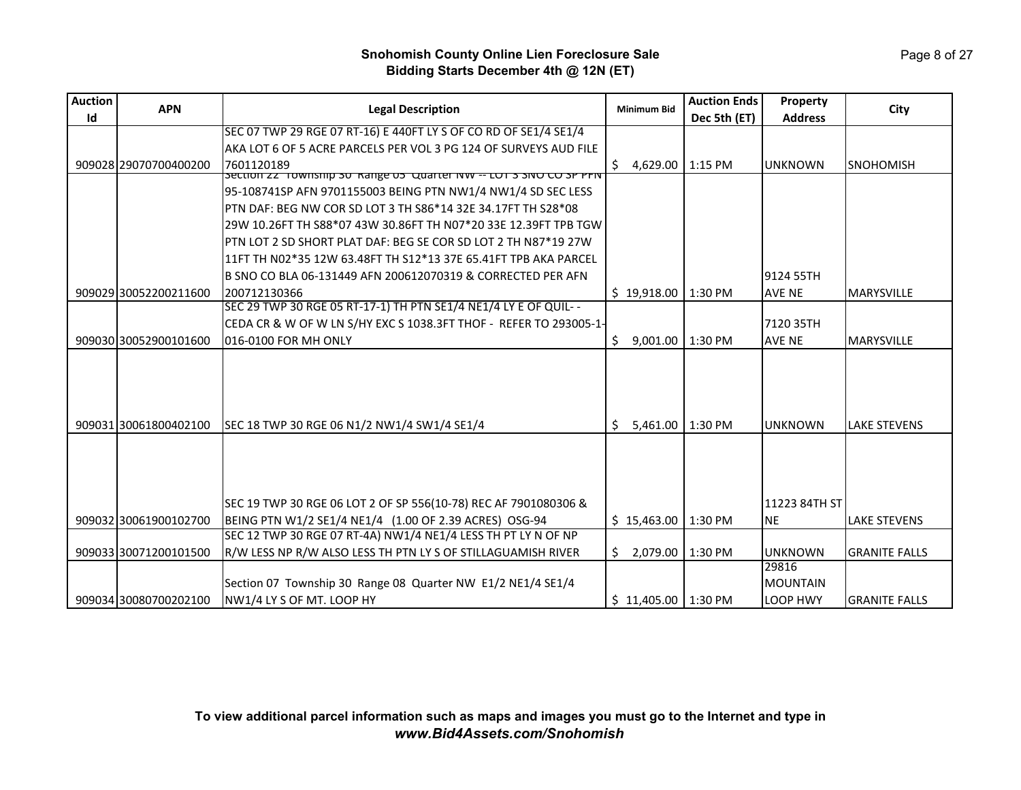| <b>Auction</b> | <b>APN</b>            | <b>Legal Description</b>                                          | <b>Minimum Bid</b>     | <b>Auction Ends</b> | Property        | City                 |
|----------------|-----------------------|-------------------------------------------------------------------|------------------------|---------------------|-----------------|----------------------|
| Id             |                       |                                                                   |                        | Dec 5th (ET)        | <b>Address</b>  |                      |
|                |                       | SEC 07 TWP 29 RGE 07 RT-16) E 440FT LY S OF CO RD OF SE1/4 SE1/4  |                        |                     |                 |                      |
|                |                       | AKA LOT 6 OF 5 ACRE PARCELS PER VOL 3 PG 124 OF SURVEYS AUD FILE  |                        |                     |                 |                      |
|                | 909028 29070700400200 | 7601120189                                                        | Ś.<br>4.629.00         | 1:15 PM             | <b>UNKNOWN</b>  | <b>SNOHOMISH</b>     |
|                |                       | Section 22 Township 30 Range 05 Quarter NW -- LOT 3 SNO CO SP PFN |                        |                     |                 |                      |
|                |                       | 95-108741SP AFN 9701155003 BEING PTN NW1/4 NW1/4 SD SEC LESS      |                        |                     |                 |                      |
|                |                       | PTN DAF: BEG NW COR SD LOT 3 TH S86*14 32E 34.17FT TH S28*08      |                        |                     |                 |                      |
|                |                       | 29W 10.26FT TH S88*07 43W 30.86FT TH N07*20 33E 12.39FT TPB TGW   |                        |                     |                 |                      |
|                |                       | PTN LOT 2 SD SHORT PLAT DAF: BEG SE COR SD LOT 2 TH N87*19 27W    |                        |                     |                 |                      |
|                |                       | 11FT TH N02*35 12W 63.48FT TH S12*13 37E 65.41FT TPB AKA PARCEL   |                        |                     |                 |                      |
|                |                       | B SNO CO BLA 06-131449 AFN 200612070319 & CORRECTED PER AFN       |                        |                     | 9124 55TH       |                      |
|                | 909029 30052200211600 | 200712130366                                                      | \$19.918.00            | 1:30 PM             | <b>AVE NE</b>   | <b>MARYSVILLE</b>    |
|                |                       | SEC 29 TWP 30 RGE 05 RT-17-1) TH PTN SE1/4 NE1/4 LY E OF QUIL--   |                        |                     |                 |                      |
|                |                       | CEDA CR & W OF W LN S/HY EXC S 1038.3FT THOF - REFER TO 293005-1- |                        |                     | 7120 35TH       |                      |
|                | 909030 30052900101600 | 016-0100 FOR MH ONLY                                              | Ś.<br>9,001.00         | 1:30 PM             | <b>AVE NE</b>   | <b>MARYSVILLE</b>    |
|                |                       |                                                                   |                        |                     |                 |                      |
|                |                       |                                                                   |                        |                     |                 |                      |
|                |                       |                                                                   |                        |                     |                 |                      |
|                |                       |                                                                   |                        |                     |                 |                      |
|                | 909031 30061800402100 | SEC 18 TWP 30 RGE 06 N1/2 NW1/4 SW1/4 SE1/4                       | 5,461.00 1:30 PM<br>Ŝ. |                     | <b>UNKNOWN</b>  | <b>LAKE STEVENS</b>  |
|                |                       |                                                                   |                        |                     |                 |                      |
|                |                       |                                                                   |                        |                     |                 |                      |
|                |                       |                                                                   |                        |                     |                 |                      |
|                |                       |                                                                   |                        |                     |                 |                      |
|                |                       | SEC 19 TWP 30 RGE 06 LOT 2 OF SP 556(10-78) REC AF 7901080306 &   |                        |                     | 11223 84TH ST   |                      |
|                | 909032 30061900102700 | BEING PTN W1/2 SE1/4 NE1/4 (1.00 OF 2.39 ACRES) OSG-94            | \$15,463.00            | 1:30 PM             | <b>NE</b>       | <b>LAKE STEVENS</b>  |
|                |                       | SEC 12 TWP 30 RGE 07 RT-4A) NW1/4 NE1/4 LESS TH PT LY N OF NP     |                        |                     |                 |                      |
|                | 909033 30071200101500 | R/W LESS NP R/W ALSO LESS TH PTN LY S OF STILLAGUAMISH RIVER      | \$2,079.00             | 1:30 PM             | <b>UNKNOWN</b>  | <b>GRANITE FALLS</b> |
|                |                       |                                                                   |                        |                     | 29816           |                      |
|                |                       | Section 07 Township 30 Range 08 Quarter NW E1/2 NE1/4 SE1/4       |                        |                     | <b>MOUNTAIN</b> |                      |
|                | 909034 30080700202100 | NW1/4 LY S OF MT. LOOP HY                                         | $$11,405.00$   1:30 PM |                     | <b>LOOP HWY</b> | <b>GRANITE FALLS</b> |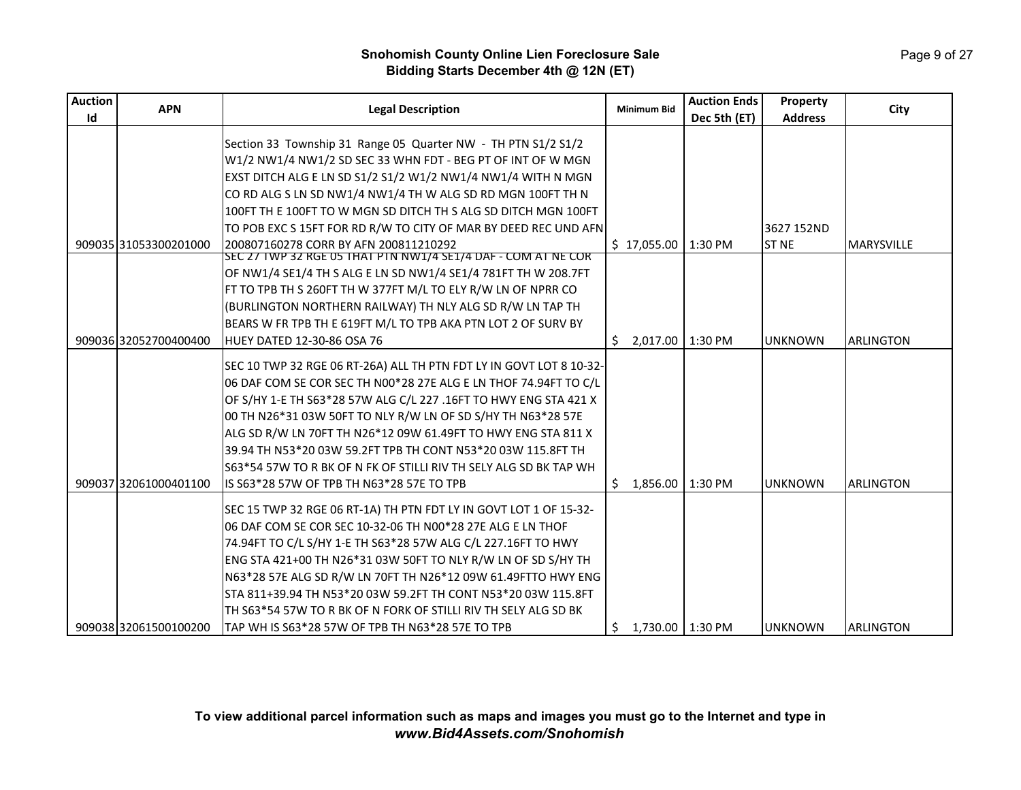# Page 9 of 27

| <b>Auction</b> | <b>APN</b>            | <b>Legal Description</b>                                            | <b>Minimum Bid</b>       | <b>Auction Ends</b> | Property       | City              |
|----------------|-----------------------|---------------------------------------------------------------------|--------------------------|---------------------|----------------|-------------------|
| Id             |                       |                                                                     |                          | Dec 5th (ET)        | <b>Address</b> |                   |
|                |                       | Section 33 Township 31 Range 05 Quarter NW - TH PTN S1/2 S1/2       |                          |                     |                |                   |
|                |                       | W1/2 NW1/4 NW1/2 SD SEC 33 WHN FDT - BEG PT OF INT OF W MGN         |                          |                     |                |                   |
|                |                       | EXST DITCH ALG E LN SD S1/2 S1/2 W1/2 NW1/4 NW1/4 WITH N MGN        |                          |                     |                |                   |
|                |                       | CO RD ALG S LN SD NW1/4 NW1/4 TH W ALG SD RD MGN 100FT TH N         |                          |                     |                |                   |
|                |                       | 100FT TH E 100FT TO W MGN SD DITCH TH S ALG SD DITCH MGN 100FT      |                          |                     |                |                   |
|                |                       | TO POB EXC S 15FT FOR RD R/W TO CITY OF MAR BY DEED REC UND AFN     |                          |                     | 3627 152ND     |                   |
|                | 909035 31053300201000 | 200807160278 CORR BY AFN 200811210292                               | $$17,055.00$   1:30 PM   |                     | <b>ST NE</b>   | <b>MARYSVILLE</b> |
|                |                       | SEC 27 TWP 32 RGE 05 THAT PTN NW1/4 SE1/4 DAF - COM AT NE COR       |                          |                     |                |                   |
|                |                       | OF NW1/4 SE1/4 TH S ALG E LN SD NW1/4 SE1/4 781FT TH W 208.7FT      |                          |                     |                |                   |
|                |                       | FT TO TPB TH S 260FT TH W 377FT M/L TO ELY R/W LN OF NPRR CO        |                          |                     |                |                   |
|                |                       | (BURLINGTON NORTHERN RAILWAY) TH NLY ALG SD R/W LN TAP TH           |                          |                     |                |                   |
|                |                       | BEARS W FR TPB TH E 619FT M/L TO TPB AKA PTN LOT 2 OF SURV BY       |                          |                     |                |                   |
|                | 909036 32052700400400 | HUEY DATED 12-30-86 OSA 76                                          | 2,017.00   1:30 PM<br>Ŝ. |                     | <b>UNKNOWN</b> | <b>ARLINGTON</b>  |
|                |                       | SEC 10 TWP 32 RGE 06 RT-26A) ALL TH PTN FDT LY IN GOVT LOT 8 10-32- |                          |                     |                |                   |
|                |                       | 06 DAF COM SE COR SEC TH N00*28 27E ALG E LN THOF 74.94FT TO C/L    |                          |                     |                |                   |
|                |                       | OF S/HY 1-E TH S63*28 57W ALG C/L 227 .16FT TO HWY ENG STA 421 X    |                          |                     |                |                   |
|                |                       | 00 TH N26*31 03W 50FT TO NLY R/W LN OF SD S/HY TH N63*28 57E        |                          |                     |                |                   |
|                |                       | ALG SD R/W LN 70FT TH N26*12 09W 61.49FT TO HWY ENG STA 811 X       |                          |                     |                |                   |
|                |                       |                                                                     |                          |                     |                |                   |
|                |                       | S63*54 57W TO R BK OF N FK OF STILLI RIV TH SELY ALG SD BK TAP WH   |                          |                     |                |                   |
|                | 909037 32061000401100 | IS S63*28 57W OF TPB TH N63*28 57E TO TPB                           | 1,856.00<br>Ŝ.           | 1:30 PM             | <b>UNKNOWN</b> | <b>ARLINGTON</b>  |
|                |                       |                                                                     |                          |                     |                |                   |
|                |                       | SEC 15 TWP 32 RGE 06 RT-1A) TH PTN FDT LY IN GOVT LOT 1 OF 15-32-   |                          |                     |                |                   |
|                |                       | 06 DAF COM SE COR SEC 10-32-06 TH N00*28 27E ALG E LN THOF          |                          |                     |                |                   |
|                |                       | 74.94FT TO C/L S/HY 1-E TH S63*28 57W ALG C/L 227.16FT TO HWY       |                          |                     |                |                   |
|                |                       | ENG STA 421+00 TH N26*31 03W 50FT TO NLY R/W LN OF SD S/HY TH       |                          |                     |                |                   |
|                |                       | N63*28 57E ALG SD R/W LN 70FT TH N26*12 09W 61.49FTTO HWY ENG       |                          |                     |                |                   |
|                |                       | STA 811+39.94 TH N53*20 03W 59.2FT TH CONT N53*20 03W 115.8FT       |                          |                     |                |                   |
|                |                       | TH S63*54 57W TO R BK OF N FORK OF STILLI RIV TH SELY ALG SD BK     |                          |                     |                |                   |
|                | 909038 32061500100200 | TAP WH IS S63*28 57W OF TPB TH N63*28 57E TO TPB                    | 1,730.00   1:30 PM<br>S. |                     | <b>UNKNOWN</b> | <b>ARLINGTON</b>  |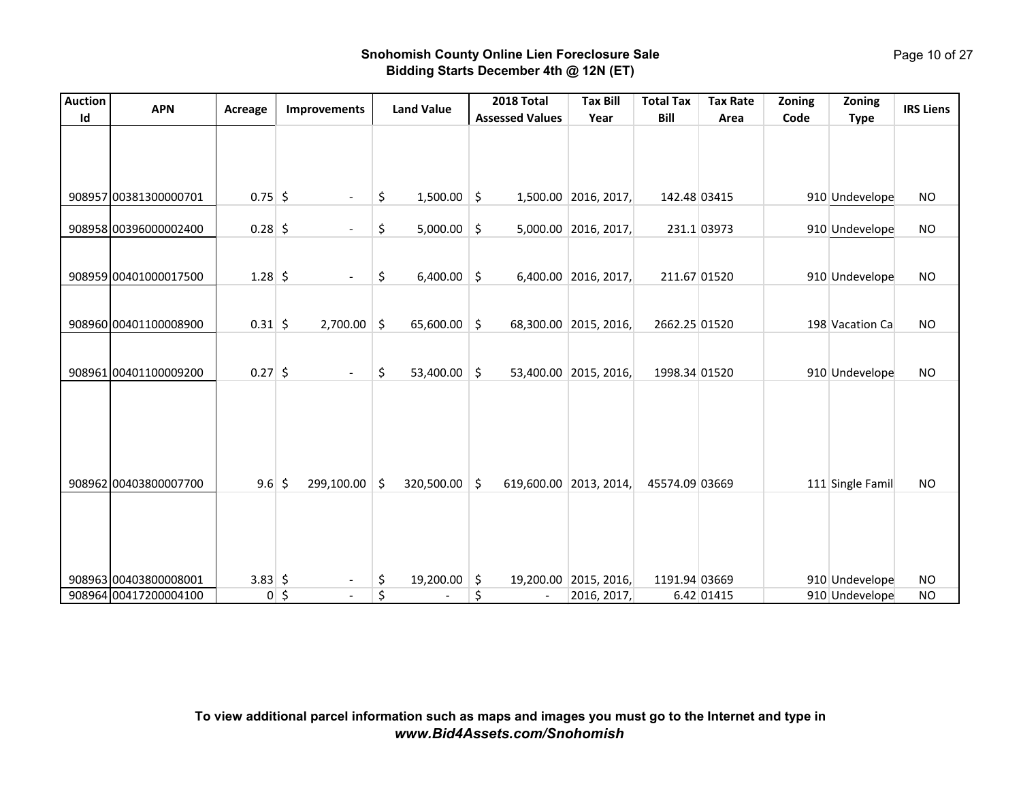| <b>Auction</b> | <b>APN</b>            |               |              |                          |    | <b>Land Value</b> |         | 2018 Total             | <b>Tax Bill</b>        | <b>Total Tax</b> | <b>Tax Rate</b> | Zoning | Zoning           | <b>IRS Liens</b> |
|----------------|-----------------------|---------------|--------------|--------------------------|----|-------------------|---------|------------------------|------------------------|------------------|-----------------|--------|------------------|------------------|
| Id             |                       | Acreage       |              | Improvements             |    |                   |         | <b>Assessed Values</b> | Year                   | Bill             | Area            | Code   | <b>Type</b>      |                  |
|                |                       |               |              |                          |    |                   |         |                        |                        |                  |                 |        |                  |                  |
|                | 908957 00381300000701 | $0.75$ \$     |              | $\blacksquare$           | \$ | $1,500.00$ \$     |         |                        | 1,500.00 2016, 2017,   | 142.48 03415     |                 |        | 910 Undevelope   | <b>NO</b>        |
|                | 908958 00396000002400 | $0.28$ \$     |              |                          | \$ | 5,000.00          | $\zeta$ |                        | 5,000.00 2016, 2017,   |                  | 231.1 03973     |        | 910 Undevelope   | <b>NO</b>        |
|                | 908959 00401000017500 | $1.28$ \$     |              |                          | \$ | 6,400.00          | \$      |                        | 6,400.00 2016, 2017,   | 211.67 01520     |                 |        | 910 Undevelope   | <b>NO</b>        |
|                | 908960 00401100008900 | $0.31$ \$     |              | 2,700.00                 | \$ | 65,600.00         | $\zeta$ |                        | 68,300.00 2015, 2016,  | 2662.25 01520    |                 |        | 198 Vacation Ca  | <b>NO</b>        |
|                | 908961 00401100009200 | $0.27$ \$     |              | $\blacksquare$           | \$ | 53,400.00         | \$      |                        | 53,400.00 2015, 2016,  | 1998.34 01520    |                 |        | 910 Undevelope   | <b>NO</b>        |
|                | 908962 00403800007700 | $9.6$ \$      |              | 299,100.00               | Ŝ. | 320,500.00        | Ŝ.      |                        | 619,600.00 2013, 2014, | 45574.09 03669   |                 |        | 111 Single Famil | <b>NO</b>        |
|                |                       |               |              |                          |    |                   |         |                        |                        |                  |                 |        |                  |                  |
|                | 908963 00403800008001 | $3.83 \mid 5$ |              | $\overline{\phantom{a}}$ | \$ | 19,200.00         | \$      | 19,200.00              | 2015, 2016,            | 1191.94 03669    |                 |        | 910 Undevelope   | <b>NO</b>        |
|                | 908964 00417200004100 |               | $0 \mid \xi$ | $\overline{a}$           | \$ |                   | \$      |                        | 2016, 2017,            |                  | 6.42 01415      |        | 910 Undevelope   | <b>NO</b>        |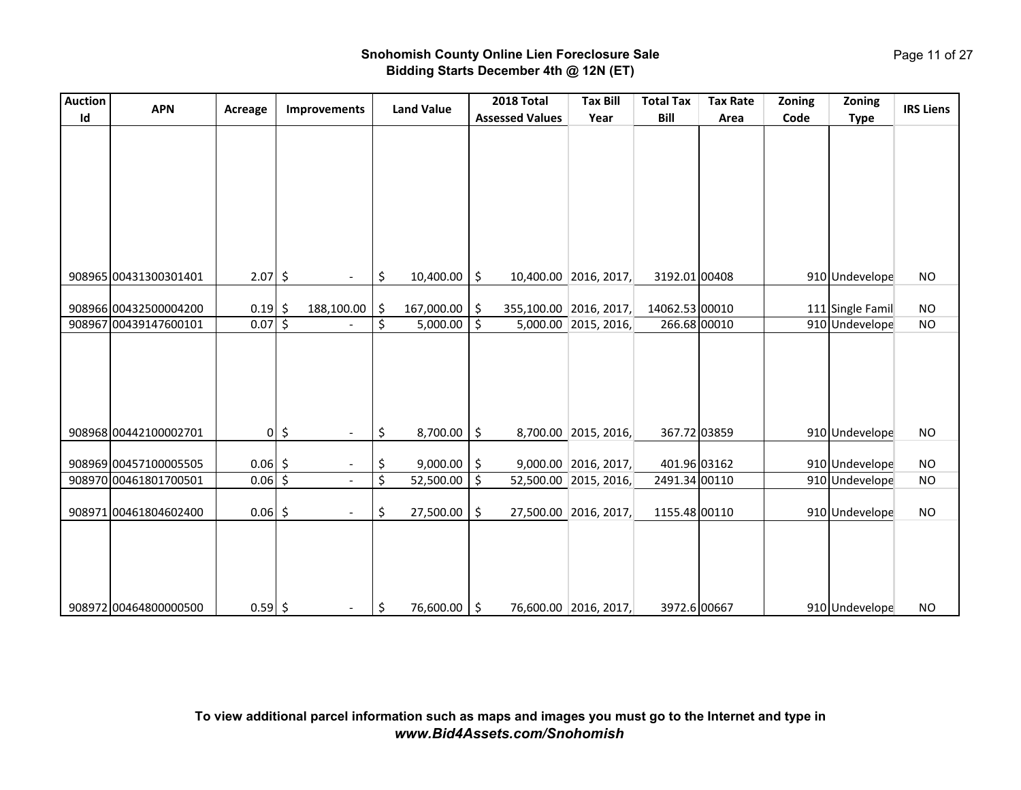| <b>Auction</b> | <b>APN</b>            | Acreage   |             | Improvements                               | <b>Land Value</b> | 2018 Total             | <b>Tax Bill</b>        | <b>Total Tax</b> | <b>Tax Rate</b> | Zoning | Zoning           | <b>IRS Liens</b> |
|----------------|-----------------------|-----------|-------------|--------------------------------------------|-------------------|------------------------|------------------------|------------------|-----------------|--------|------------------|------------------|
| Id             |                       |           |             |                                            |                   | <b>Assessed Values</b> | Year                   | Bill             | Area            | Code   | <b>Type</b>      |                  |
|                |                       |           |             |                                            |                   |                        |                        |                  |                 |        |                  |                  |
|                |                       |           |             |                                            |                   |                        |                        |                  |                 |        |                  |                  |
|                |                       |           |             |                                            |                   |                        |                        |                  |                 |        |                  |                  |
|                |                       |           |             |                                            |                   |                        |                        |                  |                 |        |                  |                  |
|                |                       |           |             |                                            |                   |                        |                        |                  |                 |        |                  |                  |
|                |                       |           |             |                                            |                   |                        |                        |                  |                 |        |                  |                  |
|                |                       |           |             |                                            |                   |                        |                        |                  |                 |        |                  |                  |
|                |                       |           |             |                                            |                   |                        |                        |                  |                 |        |                  |                  |
|                |                       |           |             |                                            |                   |                        |                        |                  |                 |        |                  |                  |
|                | 908965 00431300301401 | $2.07$ \$ |             | $\overline{\phantom{a}}$                   | \$<br>10,400.00   | \$                     | 10,400.00 2016, 2017,  | 3192.01 00408    |                 |        | 910 Undevelope   | <b>NO</b>        |
|                |                       |           |             |                                            |                   |                        |                        |                  |                 |        |                  |                  |
|                | 908966 00432500004200 | $0.19$ \$ |             | 188,100.00                                 | \$<br>167,000.00  | \$                     | 355,100.00 2016, 2017, | 14062.53 00010   |                 |        | 111 Single Famil | <b>NO</b>        |
|                | 908967 00439147600101 | $0.07$ \$ |             |                                            | \$<br>5,000.00    | \$                     | 5,000.00 2015, 2016,   | 266.68 00010     |                 |        | 910 Undevelope   | <b>NO</b>        |
|                |                       |           |             |                                            |                   |                        |                        |                  |                 |        |                  |                  |
|                |                       |           |             |                                            |                   |                        |                        |                  |                 |        |                  |                  |
|                |                       |           |             |                                            |                   |                        |                        |                  |                 |        |                  |                  |
|                |                       |           |             |                                            |                   |                        |                        |                  |                 |        |                  |                  |
|                |                       |           |             |                                            |                   |                        |                        |                  |                 |        |                  |                  |
|                |                       |           |             |                                            |                   |                        |                        |                  |                 |        |                  |                  |
|                | 908968 00442100002701 |           | $0\sqrt{5}$ | $\blacksquare$                             | \$<br>8,700.00    | \$                     | 8,700.00 2015, 2016,   | 367.72 03859     |                 |        | 910 Undevelope   | <b>NO</b>        |
|                |                       |           |             |                                            |                   |                        |                        |                  |                 |        |                  |                  |
|                | 908969 00457100005505 | $0.06$ \$ |             | $\overline{\phantom{a}}$<br>$\overline{a}$ | \$<br>9,000.00    | \$                     | $9,000.00$ 2016, 2017, | 401.96 03162     |                 |        | 910 Undevelope   | <b>NO</b>        |
|                | 908970 00461801700501 | $0.06$ \$ |             |                                            | \$<br>52,500.00   | \$                     | 52,500.00 2015, 2016,  | 2491.34 00110    |                 |        | 910 Undevelope   | <b>NO</b>        |
|                |                       |           |             |                                            |                   |                        |                        |                  |                 |        |                  |                  |
|                | 908971 00461804602400 | $0.06$ \$ |             | $\overline{\phantom{a}}$                   | \$<br>27,500.00   | \$                     | 27,500.00 2016, 2017,  | 1155.48 00110    |                 |        | 910 Undevelope   | <b>NO</b>        |
|                |                       |           |             |                                            |                   |                        |                        |                  |                 |        |                  |                  |
|                |                       |           |             |                                            |                   |                        |                        |                  |                 |        |                  |                  |
|                |                       |           |             |                                            |                   |                        |                        |                  |                 |        |                  |                  |
|                |                       |           |             |                                            |                   |                        |                        |                  |                 |        |                  |                  |
|                |                       |           |             |                                            |                   |                        |                        |                  |                 |        |                  |                  |
|                | 908972 00464800000500 | $0.59$ \$ |             | $\overline{\phantom{a}}$                   | \$<br>76,600.00   | \$                     | 76,600.00 2016, 2017,  | 3972.6 00667     |                 |        | 910 Undevelope   | <b>NO</b>        |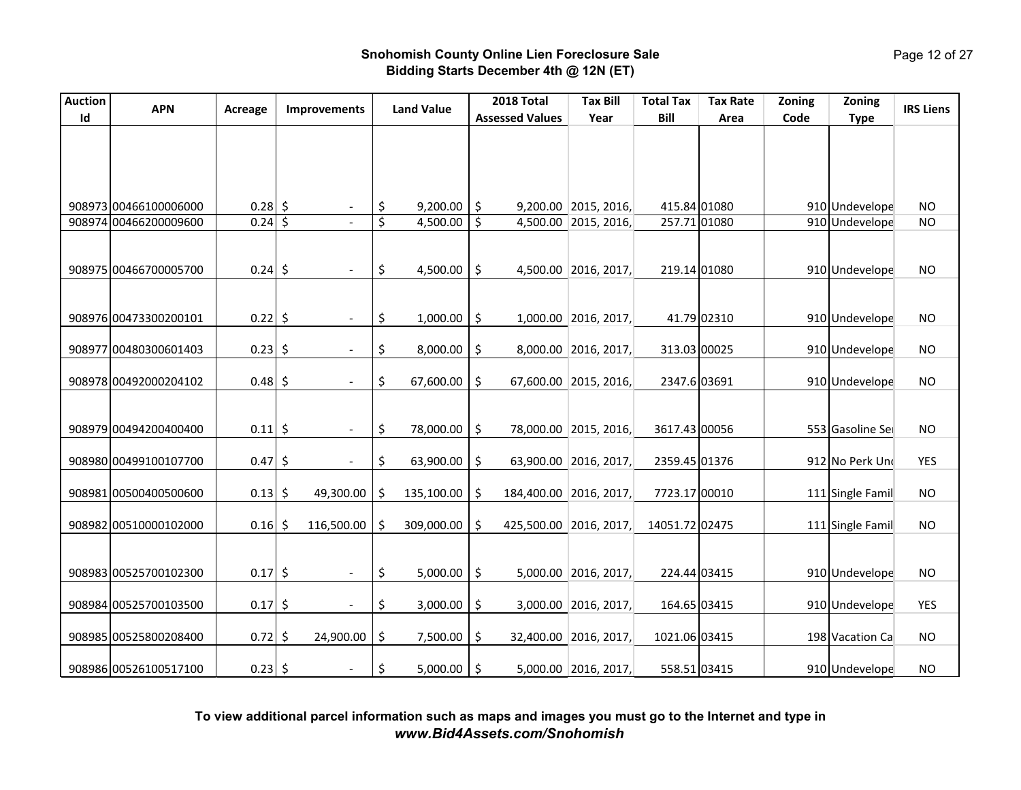| <b>Auction</b> |                                                |                   |         |                          |          |                      |          | 2018 Total             | <b>Tax Bill</b>                              | <b>Total Tax</b>             | <b>Tax Rate</b> | Zoning | Zoning                           |                        |
|----------------|------------------------------------------------|-------------------|---------|--------------------------|----------|----------------------|----------|------------------------|----------------------------------------------|------------------------------|-----------------|--------|----------------------------------|------------------------|
| Id             | <b>APN</b>                                     | Acreage           |         | <b>Improvements</b>      |          | <b>Land Value</b>    |          | <b>Assessed Values</b> | Year                                         | Bill                         | Area            | Code   | <b>Type</b>                      | <b>IRS Liens</b>       |
|                |                                                |                   |         |                          |          |                      |          |                        |                                              |                              |                 |        |                                  |                        |
|                | 908973 00466100006000<br>908974 00466200009600 | $0.28$ \$<br>0.24 | $\zeta$ |                          | \$<br>\$ | 9,200.00<br>4,500.00 | \$<br>\$ |                        | 9,200.00 2015, 2016,<br>4,500.00 2015, 2016, | 415.84 01080<br>257.71 01080 |                 |        | 910 Undevelope<br>910 Undevelope | <b>NO</b><br><b>NO</b> |
|                | 908975 00466700005700                          | $0.24$ \$         |         | $\overline{\phantom{a}}$ | \$       | 4,500.00             | \$       |                        | 4,500.00 2016, 2017,                         | 219.14 01080                 |                 |        | 910 Undevelope                   | <b>NO</b>              |
|                | 908976 00473300200101                          | $0.22$ \$         |         |                          | \$       | 1,000.00             | \$       |                        | 1,000.00 2016, 2017,                         |                              | 41.79 02310     |        | 910 Undevelope                   | <b>NO</b>              |
|                | 908977 00480300601403                          | 0.23              | \$      |                          | \$       | 8,000.00             | \$       |                        | 8,000.00 2016, 2017,                         | 313.03 00025                 |                 |        | 910 Undevelope                   | <b>NO</b>              |
|                | 908978 00492000204102                          | 0.48              | \$      |                          | \$       | 67,600.00            | \$       |                        | 67,600.00 2015, 2016,                        | 2347.6 03691                 |                 |        | 910 Undevelope                   | <b>NO</b>              |
|                | 908979 00494200400400                          | 0.11              | \$      | $\overline{\phantom{a}}$ | \$       | 78,000.00            | \$       |                        | 78,000.00 2015, 2016,                        | 3617.43 00056                |                 |        | 553 Gasoline Sei                 | <b>NO</b>              |
|                | 908980 00499100107700                          | 0.47              | \$      |                          | \$       | 63,900.00            | \$       |                        | 63,900.00 2016, 2017,                        | 2359.45 01376                |                 |        | 912 No Perk Und                  | <b>YES</b>             |
|                | 908981 00500400500600                          | $0.13$ \$         |         | 49,300.00                | \$       | 135,100.00           | \$       |                        | 184,400.00 2016, 2017,                       | 7723.17 00010                |                 |        | 111 Single Famil                 | <b>NO</b>              |
|                | 908982 00510000102000                          | $0.16$ \$         |         | 116,500.00               | Ŝ.       | 309,000.00           | \$       |                        | 425,500.00 2016, 2017,                       | 14051.72 02475               |                 |        | 111 Single Famil                 | <b>NO</b>              |
|                | 908983 00525700102300                          | $0.17$ \$         |         | $\sim$                   | \$       | 5,000.00             | \$       |                        | 5,000.00 2016, 2017,                         | 224.44 03415                 |                 |        | 910 Undevelope                   | <b>NO</b>              |
|                | 908984 00525700103500                          | 0.17              | \$      |                          | \$       | 3,000.00             | \$       |                        | 3,000.00 2016, 2017,                         | 164.65 03415                 |                 |        | 910 Undevelope                   | <b>YES</b>             |
|                | 908985 00525800208400                          | 0.72              | \$      | 24,900.00                | \$       | 7,500.00             | \$       |                        | 32,400.00 2016, 2017,                        | 1021.06 03415                |                 |        | 198 Vacation Ca                  | <b>NO</b>              |
|                | 908986 00526100517100                          | $0.23$ \$         |         |                          | \$       | 5,000.00             | \$       |                        | 5,000.00 2016, 2017,                         | 558.51 03415                 |                 |        | 910 Undevelope                   | <b>NO</b>              |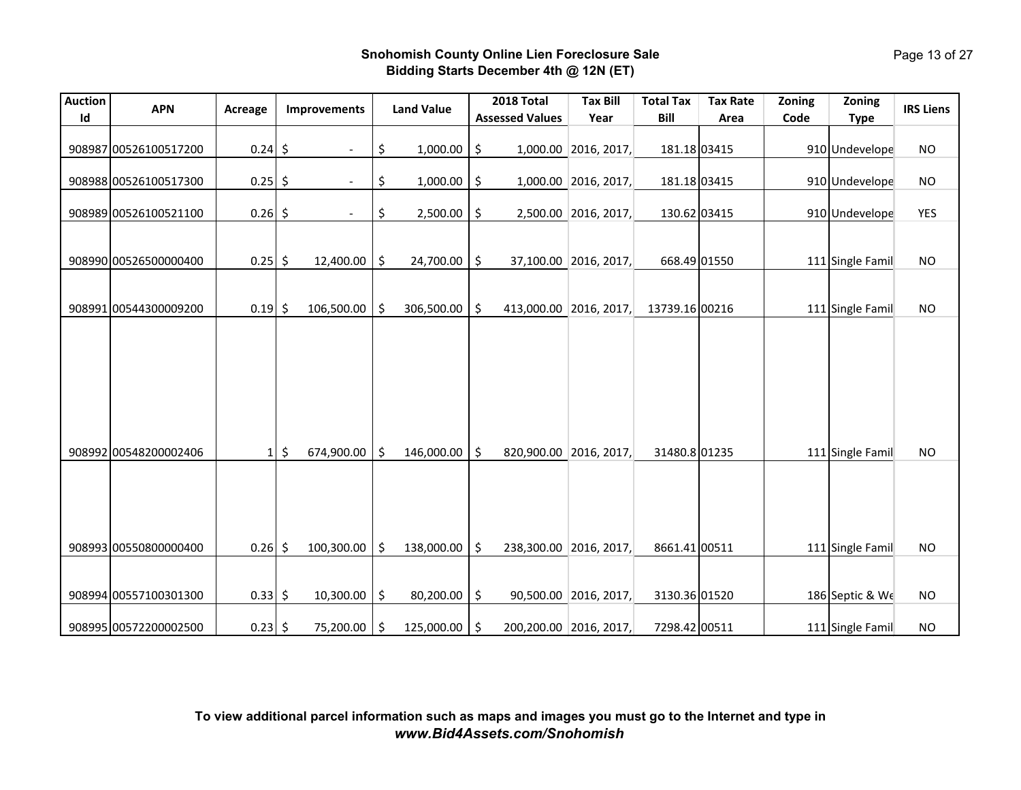| Auction | <b>APN</b>            | Acreage   | Improvements                   |     | <b>Land Value</b> | 2018 Total             | <b>Tax Bill</b>        | <b>Total Tax</b> | <b>Tax Rate</b> | Zoning | Zoning           | <b>IRS Liens</b> |
|---------|-----------------------|-----------|--------------------------------|-----|-------------------|------------------------|------------------------|------------------|-----------------|--------|------------------|------------------|
| Id      |                       |           |                                |     |                   | <b>Assessed Values</b> | Year                   | <b>Bill</b>      | Area            | Code   | <b>Type</b>      |                  |
|         | 908987 00526100517200 | $0.24$ \$ |                                | \$  | 1,000.00          | \$                     | 1,000.00 2016, 2017,   | 181.18 03415     |                 |        | 910 Undevelope   | <b>NO</b>        |
|         | 908988 00526100517300 | 0.25      | \$<br>$\overline{\phantom{a}}$ | \$  | 1,000.00          | \$                     | 1,000.00 2016, 2017,   | 181.18 03415     |                 |        | 910 Undevelope   | <b>NO</b>        |
|         | 908989 00526100521100 | $0.26$ \$ |                                | \$  | 2,500.00          | \$                     | 2,500.00 2016, 2017,   | 130.62 03415     |                 |        | 910 Undevelope   | <b>YES</b>       |
|         | 908990 00526500000400 | $0.25$ \$ | 12,400.00                      | \$  | 24,700.00         | \$                     | 37,100.00 2016, 2017,  | 668.49 01550     |                 |        | 111 Single Famil | <b>NO</b>        |
|         | 908991 00544300009200 | $0.19$ \$ | 106,500.00                     | \$  | 306,500.00        | \$                     | 413,000.00 2016, 2017, | 13739.16 00216   |                 |        | 111 Single Famil | <b>NO</b>        |
|         |                       |           |                                |     |                   |                        |                        |                  |                 |        |                  |                  |
|         | 908992 00548200002406 | $1\vert$  | $\zeta$<br>674,900.00          | Ŝ.  | 146,000.00        | \$                     | 820,900.00 2016, 2017, | 31480.8 01235    |                 |        | 111 Single Famil | <b>NO</b>        |
|         | 908993 00550800000400 | 0.26      | \$<br>100,300.00               | \$  | 138,000.00        | \$                     | 238,300.00 2016, 2017, | 8661.41 00511    |                 |        | 111 Single Famil | <b>NO</b>        |
|         | 908994 00557100301300 | $0.33$ \$ | 10,300.00                      | \$  | 80,200.00         | \$                     | 90,500.00 2016, 2017,  | 3130.36 01520    |                 |        | 186 Septic & We  | <b>NO</b>        |
|         | 908995 00572200002500 | $0.23$ \$ | 75,200.00                      | \$. | 125,000.00        | \$                     | 200,200.00 2016, 2017, | 7298.42 00511    |                 |        | 111 Single Famil | <b>NO</b>        |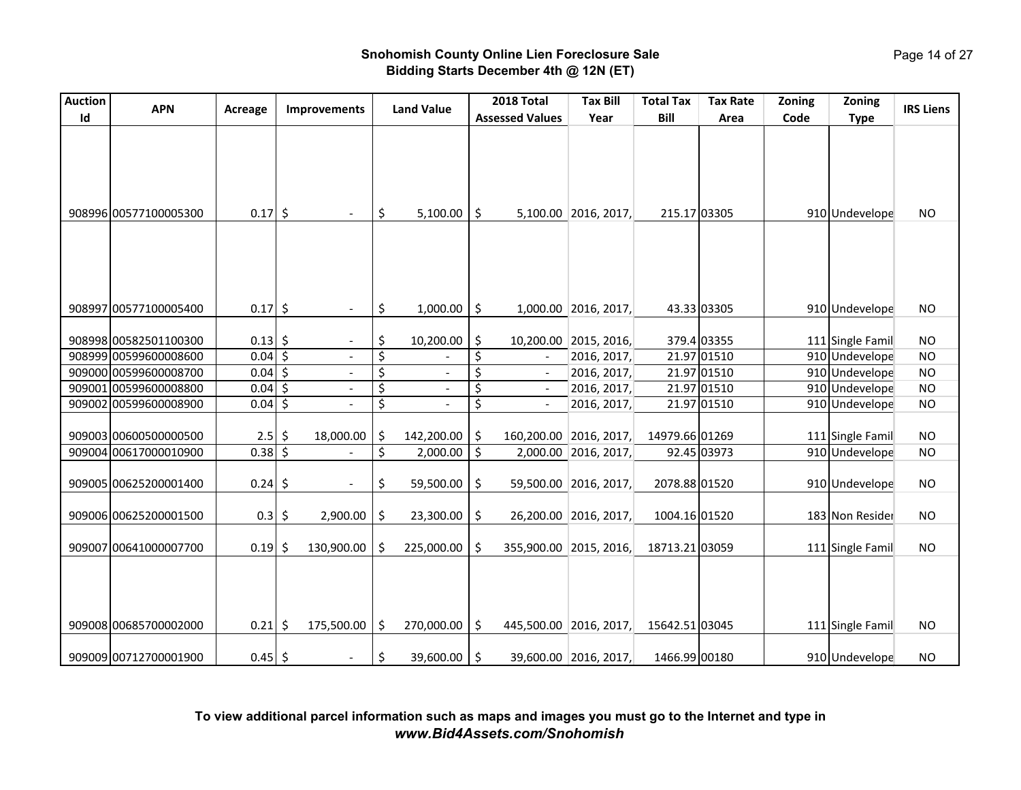| <b>Auction</b> |                       |           |                                     |                                | 2018 Total                     | <b>Tax Bill</b>        | <b>Total Tax</b> | <b>Tax Rate</b> | Zoning | Zoning           |                  |
|----------------|-----------------------|-----------|-------------------------------------|--------------------------------|--------------------------------|------------------------|------------------|-----------------|--------|------------------|------------------|
| Id             | <b>APN</b>            | Acreage   | <b>Improvements</b>                 | <b>Land Value</b>              | <b>Assessed Values</b>         | Year                   | Bill             | Area            | Code   | <b>Type</b>      | <b>IRS Liens</b> |
|                | 908996 00577100005300 | $0.17$ \$ |                                     | \$<br>5,100.00                 | \$                             | 5,100.00 2016, 2017,   | 215.17 03305     |                 |        | 910 Undevelope   | <b>NO</b>        |
|                | 908997 00577100005400 | $0.17$ \$ | $\overline{\phantom{a}}$            | \$<br>1,000.00                 | \$                             | 1,000.00 2016, 2017,   |                  | 43.33 03305     |        | 910 Undevelope   | <b>NO</b>        |
|                |                       |           |                                     |                                |                                |                        |                  |                 |        |                  |                  |
|                | 908998 00582501100300 | 0.13      | \$<br>$\blacksquare$                | \$<br>10,200.00                | \$<br>10,200.00                | 2015, 2016,            |                  | 379.4 03355     |        | 111 Single Famil | <b>NO</b>        |
|                | 908999 00599600008600 | 0.04      | \$<br>$\blacksquare$                | \$                             | \$<br>$\sim$                   | 2016, 2017,            |                  | 21.97 01510     |        | 910 Undevelope   | <b>NO</b>        |
|                | 909000 00599600008700 | 0.04      | \$<br>$\overline{\phantom{a}}$      | \$<br>$\overline{\phantom{a}}$ | \$<br>$\overline{\phantom{a}}$ | 2016, 2017,            |                  | 21.97 01510     |        | 910 Undevelope   | <b>NO</b>        |
|                | 909001 00599600008800 | 0.04      | $\zeta$<br>$\overline{\phantom{a}}$ | \$<br>$\frac{1}{2}$            | \$                             | 2016, 2017,            |                  | 21.97 01510     |        | 910 Undevelope   | <b>NO</b>        |
|                | 909002 00599600008900 | $0.04$ \$ |                                     | \$                             | \$                             | 2016, 2017,            |                  | 21.97 01510     |        | 910 Undevelope   | <b>NO</b>        |
|                | 909003 00600500000500 | 2.5       | \$<br>18,000.00                     | \$<br>142,200.00               | \$                             | 160,200.00 2016, 2017, | 14979.66 01269   |                 |        | 111 Single Famil | <b>NO</b>        |
|                | 909004 00617000010900 | 0.38      | \$                                  | \$<br>2,000.00                 | \$                             | 2,000.00 2016, 2017,   |                  | 92.45 03973     |        | 910 Undevelope   | <b>NO</b>        |
|                | 909005 00625200001400 | $0.24$ \$ | $\overline{\phantom{a}}$            | \$<br>59,500.00                | \$                             | 59,500.00 2016, 2017,  | 2078.88 01520    |                 |        | 910 Undevelope   | <b>NO</b>        |
|                | 909006 00625200001500 | $0.3$ \$  | 2,900.00                            | \$<br>23,300.00                | \$                             | 26,200.00 2016, 2017,  | 1004.16 01520    |                 |        | 183 Non Resider  | <b>NO</b>        |
|                | 909007 00641000007700 | $0.19$ \$ | 130,900.00                          | \$<br>225,000.00               | \$                             | 355,900.00 2015, 2016, | 18713.21 03059   |                 |        | 111 Single Famil | <b>NO</b>        |
|                | 909008 00685700002000 | $0.21$ \$ | 175,500.00                          | \$<br>270,000.00               | \$                             | 445,500.00 2016, 2017, | 15642.51 03045   |                 |        | 111 Single Famil | <b>NO</b>        |
|                | 909009 00712700001900 | $0.45$ \$ |                                     | \$<br>39,600.00                | \$                             | 39,600.00 2016, 2017,  | 1466.99 00180    |                 |        | 910 Undevelope   | <b>NO</b>        |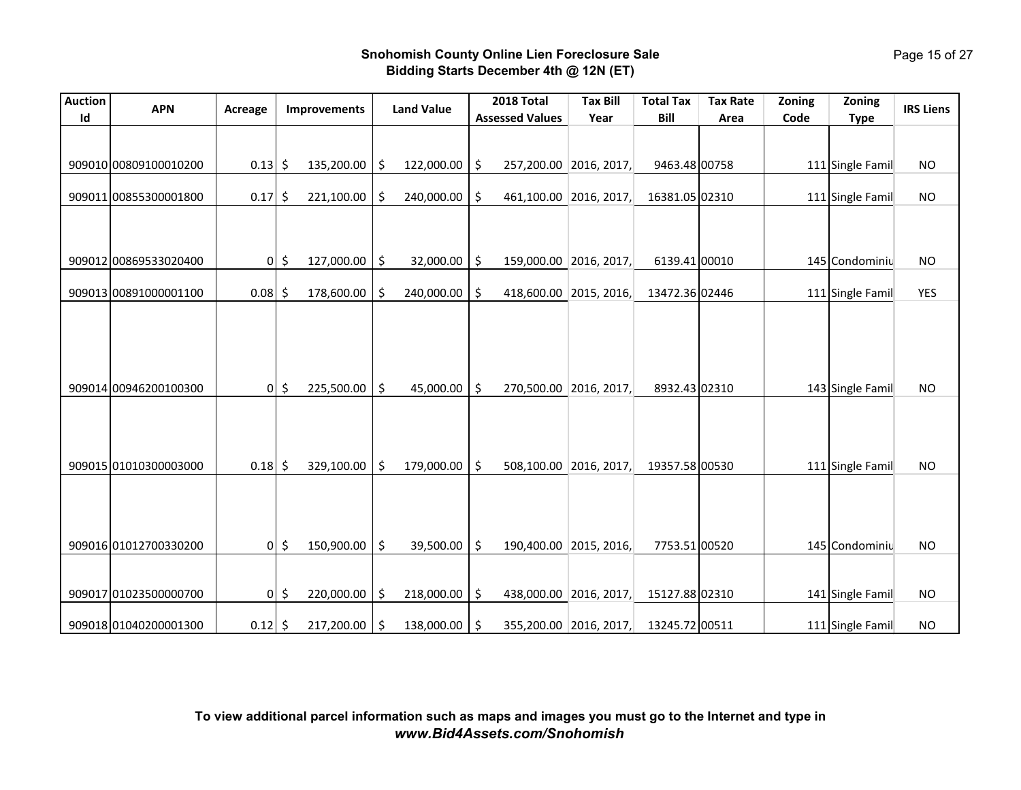| <b>Auction</b><br>Id | <b>APN</b>            | Acreage   |               | Improvements | <b>Land Value</b> | 2018 Total<br><b>Assessed Values</b> | <b>Tax Bill</b><br>Year | <b>Total Tax</b><br>Bill | <b>Tax Rate</b><br>Area | Zoning<br>Code | Zoning<br><b>Type</b> | <b>IRS Liens</b> |
|----------------------|-----------------------|-----------|---------------|--------------|-------------------|--------------------------------------|-------------------------|--------------------------|-------------------------|----------------|-----------------------|------------------|
|                      |                       |           |               |              |                   |                                      |                         |                          |                         |                |                       |                  |
|                      | 909010 00809100010200 | $0.13$ \$ |               | 135,200.00   | \$<br>122,000.00  | \$                                   | 257,200.00 2016, 2017,  | 9463.48 00758            |                         |                | 111 Single Famil      | <b>NO</b>        |
|                      | 909011 00855300001800 | $0.17$ \$ |               | 221,100.00   | \$<br>240,000.00  | \$<br>461,100.00                     | 2016, 2017,             | 16381.05 02310           |                         |                | 111 Single Famil      | <b>NO</b>        |
|                      |                       |           |               |              |                   |                                      |                         |                          |                         |                |                       |                  |
|                      | 909012 00869533020400 |           | $0\sqrt{5}$   | 127,000.00   | \$<br>32,000.00   | \$                                   | 159,000.00 2016, 2017,  | 6139.41 00010            |                         |                | 145 Condominiu        | <b>NO</b>        |
|                      | 909013 00891000001100 | $0.08$ \$ |               | 178,600.00   | \$<br>240,000.00  | \$                                   | 418,600.00 2015, 2016,  | 13472.36 02446           |                         |                | 111 Single Famil      | <b>YES</b>       |
|                      |                       |           |               |              |                   |                                      |                         |                          |                         |                |                       |                  |
|                      |                       |           |               |              |                   |                                      |                         |                          |                         |                |                       |                  |
|                      | 909014 00946200100300 |           | $0\vert$ \$   | 225,500.00   | \$<br>45,000.00   | \$                                   | 270,500.00 2016, 2017,  | 8932.43 02310            |                         |                | 143 Single Famil      | <b>NO</b>        |
|                      |                       |           |               |              |                   |                                      |                         |                          |                         |                |                       |                  |
|                      |                       |           |               |              |                   |                                      |                         |                          |                         |                |                       |                  |
|                      | 909015 01010300003000 | $0.18$ \$ |               | 329,100.00   | \$<br>179,000.00  | \$                                   | 508,100.00 2016, 2017,  | 19357.58 00530           |                         |                | 111 Single Famil      | <b>NO</b>        |
|                      |                       |           |               |              |                   |                                      |                         |                          |                         |                |                       |                  |
|                      |                       |           |               |              |                   |                                      |                         |                          |                         |                |                       |                  |
|                      | 909016 01012700330200 |           | $0\vert\;$ \$ | 150,900.00   | \$<br>39,500.00   | \$                                   | 190,400.00 2015, 2016,  | 7753.51 00520            |                         |                | 145 Condominiu        | <b>NO</b>        |
|                      |                       |           |               |              |                   |                                      |                         |                          |                         |                |                       |                  |
|                      | 909017 01023500000700 | 0         | \$            | 220,000.00   | \$<br>218,000.00  | \$                                   | 438,000.00 2016, 2017,  | 15127.88 02310           |                         |                | 141 Single Famil      | <b>NO</b>        |
|                      | 909018 01040200001300 | $0.12$ \$ |               | 217,200.00   | \$<br>138,000.00  | \$                                   | 355,200.00 2016, 2017,  | 13245.72 00511           |                         |                | 111 Single Famil      | <b>NO</b>        |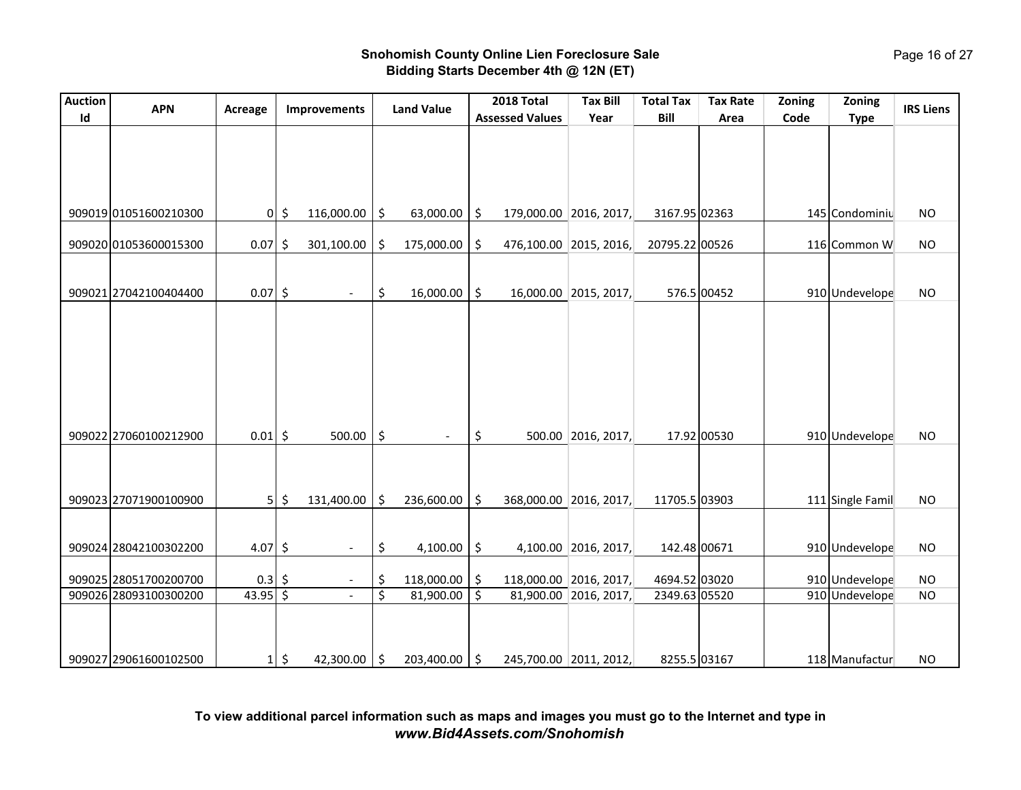| <b>Auction</b> | <b>APN</b>                                     | Acreage           |                     | Improvements                |          | <b>Land Value</b>              | 2018 Total                   | <b>Tax Bill</b>        | <b>Total Tax</b>              | <b>Tax Rate</b> | Zoning | Zoning                           | <b>IRS Liens</b>       |
|----------------|------------------------------------------------|-------------------|---------------------|-----------------------------|----------|--------------------------------|------------------------------|------------------------|-------------------------------|-----------------|--------|----------------------------------|------------------------|
| Id             |                                                |                   |                     |                             |          |                                | <b>Assessed Values</b>       | Year                   | Bill                          | Area            | Code   | <b>Type</b>                      |                        |
|                |                                                |                   |                     |                             |          |                                |                              |                        |                               |                 |        |                                  |                        |
|                | 909019 01051600210300                          |                   | $0 \mid \xi$        | 116,000.00                  | \$       | 63,000.00                      | \$                           | 179,000.00 2016, 2017, | 3167.95 02363                 |                 |        | 145 Condominiu                   | <b>NO</b>              |
|                | 909020 01053600015300                          | 0.07              | $\ddot{\bm{\zeta}}$ | 301,100.00                  | \$       | 175,000.00                     | \$                           | 476,100.00 2015, 2016, | 20795.22 00526                |                 |        | 116 Common W                     | <b>NO</b>              |
|                | 909021 27042100404400                          | $0.07$ \$         |                     | $\overline{\phantom{a}}$    | \$       | 16,000.00                      | \$                           | 16,000.00 2015, 2017,  |                               | 576.5 00452     |        | 910 Undevelope                   | <b>NO</b>              |
|                | 909022 27060100212900                          | $0.01$ \$         |                     | 500.00                      | \$       |                                | \$                           | 500.00 2016, 2017,     |                               | 17.92 00530     |        | 910 Undevelope                   | <b>NO</b>              |
|                | 909023 27071900100900                          | 5                 | \$                  | 131,400.00                  | \$       | 236,600.00                     | \$                           | 368,000.00 2016, 2017, | 11705.5 03903                 |                 |        | 111 Single Famil                 | <b>NO</b>              |
|                | 909024 28042100302200                          | 4.07 \$           |                     | $\overline{\phantom{a}}$    | \$       | 4,100.00                       | \$                           | 4,100.00 2016, 2017,   | 142.48 00671                  |                 |        | 910 Undevelope                   | <b>NO</b>              |
|                | 909025 28051700200700                          | 0.3               | \$                  | $\overline{\phantom{a}}$    | \$       | 118,000.00                     | \$                           | 118,000.00 2016, 2017, | 4694.52 03020                 |                 |        | 910 Undevelope                   | <b>NO</b>              |
|                | 909026 28093100300200<br>909027 29061600102500 | 43.95<br>$1\vert$ | $\zeta$<br>\$       | $\overline{a}$<br>42,300.00 | \$<br>\$ | 81,900.00<br>$203,400.00$   \$ | \$<br>245,700.00 2011, 2012, | 81,900.00 2016, 2017,  | 2349.63 05520<br>8255.5 03167 |                 |        | 910 Undevelope<br>118 Manufactur | <b>NO</b><br><b>NO</b> |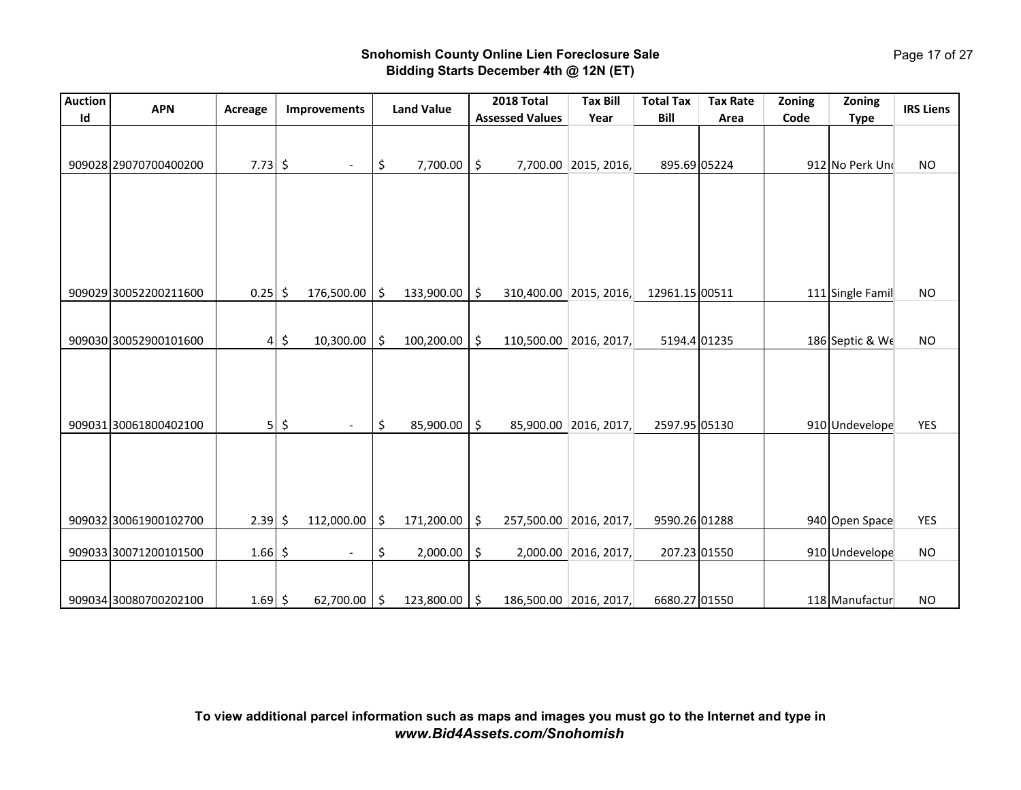| <b>Auction</b> | <b>APN</b>            | Acreage       |                           | Improvements             |     | <b>Land Value</b> | 2018 Total                   | <b>Tax Bill</b>        | <b>Total Tax</b> | <b>Tax Rate</b> | Zoning | Zoning           | <b>IRS Liens</b> |
|----------------|-----------------------|---------------|---------------------------|--------------------------|-----|-------------------|------------------------------|------------------------|------------------|-----------------|--------|------------------|------------------|
| Id             |                       |               |                           |                          |     |                   | <b>Assessed Values</b>       | Year                   | Bill             | Area            | Code   | <b>Type</b>      |                  |
|                | 909028 29070700400200 | $7.73$ \$     |                           | $\overline{\phantom{a}}$ | \$  | 7,700.00          | \$                           | 7,700.00 2015, 2016,   | 895.69 05224     |                 |        | 912 No Perk Und  | <b>NO</b>        |
|                | 909029 30052200211600 | 0.25          | Ŝ.                        | 176,500.00               | \$  | 133,900.00        |                              | 310,400.00 2015, 2016, | 12961.15 00511   |                 |        | 111 Single Famil | <b>NO</b>        |
|                |                       |               |                           |                          |     |                   | \$                           |                        |                  |                 |        |                  |                  |
|                | 909030 30052900101600 | 4             | \$                        | 10,300.00                | \$  | 100,200.00        | \$                           | 110,500.00 2016, 2017, | 5194.4 01235     |                 |        | 186 Septic & We  | <b>NO</b>        |
|                | 909031 30061800402100 |               | $5\overline{\phantom{0}}$ | $\overline{\phantom{a}}$ | \$  | 85,900.00         | \$                           | 85,900.00 2016, 2017,  | 2597.95 05130    |                 |        | 910 Undevelope   | <b>YES</b>       |
|                |                       |               |                           |                          |     |                   |                              |                        |                  |                 |        |                  |                  |
|                | 909032 30061900102700 | $2.39 \mid 5$ |                           | 112,000.00               | \$  | 171,200.00        | \$                           | 257,500.00 2016, 2017, | 9590.26 01288    |                 |        | 940 Open Space   | <b>YES</b>       |
|                | 909033 30071200101500 | $1.66$ \$     |                           | $\overline{\phantom{a}}$ | \$  | 2,000.00          | \$                           | 2,000.00 2016, 2017,   | 207.23 01550     |                 |        | 910 Undevelope   | <b>NO</b>        |
|                | 909034 30080700202100 | $1.69$ \$     |                           | 62,700.00                | -\$ | 123,800.00        | \$<br>186,500.00 2016, 2017, |                        | 6680.27 01550    |                 |        | 118 Manufactur   | <b>NO</b>        |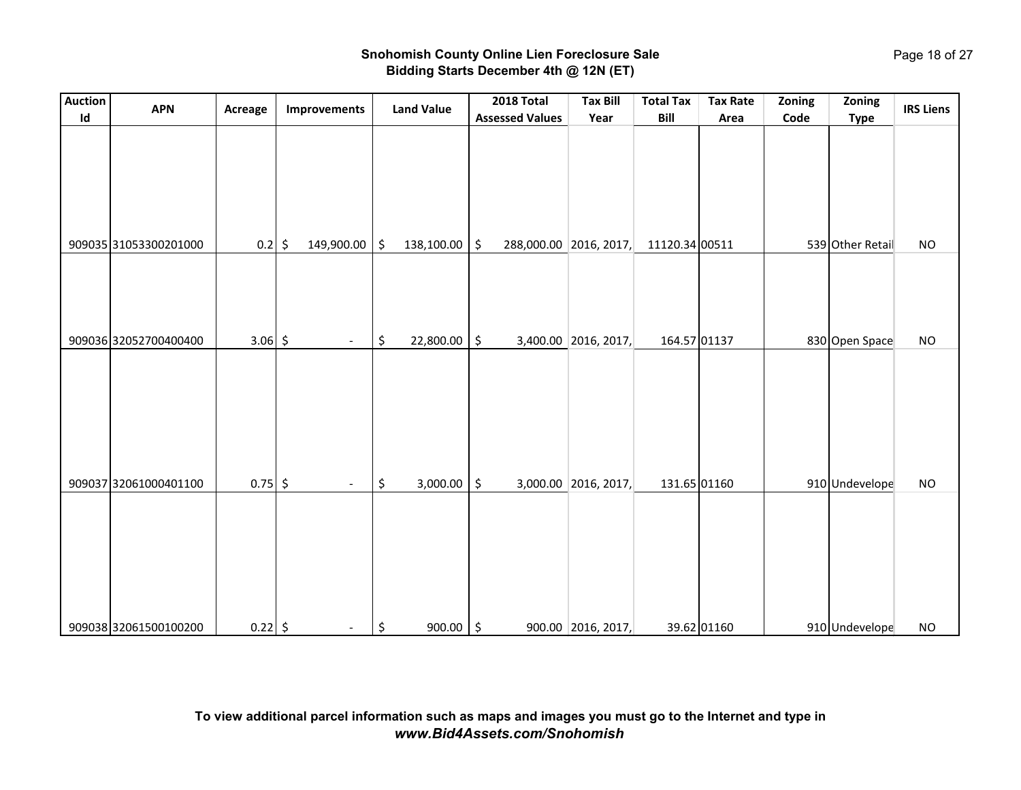| <b>Auction</b> | <b>APN</b>            | Acreage   |         | Improvements             | <b>Land Value</b>   | 2018 Total             | <b>Tax Bill</b>        | <b>Total Tax</b> | <b>Tax Rate</b> | Zoning | Zoning           | <b>IRS Liens</b> |
|----------------|-----------------------|-----------|---------|--------------------------|---------------------|------------------------|------------------------|------------------|-----------------|--------|------------------|------------------|
| $\mathsf{Id}$  |                       |           |         |                          |                     | <b>Assessed Values</b> | Year                   | Bill             | Area            | Code   | <b>Type</b>      |                  |
|                |                       |           |         |                          |                     |                        |                        |                  |                 |        |                  |                  |
|                | 909035 31053300201000 | 0.2       | $\zeta$ | 149,900.00               | \$<br>138,100.00    | \$                     | 288,000.00 2016, 2017, | 11120.34 00511   |                 |        | 539 Other Retail | <b>NO</b>        |
|                | 909036 32052700400400 | $3.06$ \$ |         | $\overline{\phantom{a}}$ | \$<br>22,800.00     | \$                     | 3,400.00 2016, 2017,   | 164.57 01137     |                 |        | 830 Open Space   | <b>NO</b>        |
|                |                       |           |         |                          |                     |                        |                        |                  |                 |        |                  |                  |
|                | 909037 32061000401100 | $0.75$ \$ |         | $\overline{\phantom{a}}$ | \$<br>3,000.00      | \$                     | 3,000.00 2016, 2017,   | 131.65 01160     |                 |        | 910 Undevelope   | <b>NO</b>        |
|                |                       |           |         |                          |                     |                        |                        |                  |                 |        |                  |                  |
|                | 909038 32061500100200 | $0.22$ \$ |         | $\overline{\phantom{a}}$ | \$<br>$900.00$   \$ |                        | 900.00 2016, 2017,     |                  | 39.62 01160     |        | 910 Undevelope   | <b>NO</b>        |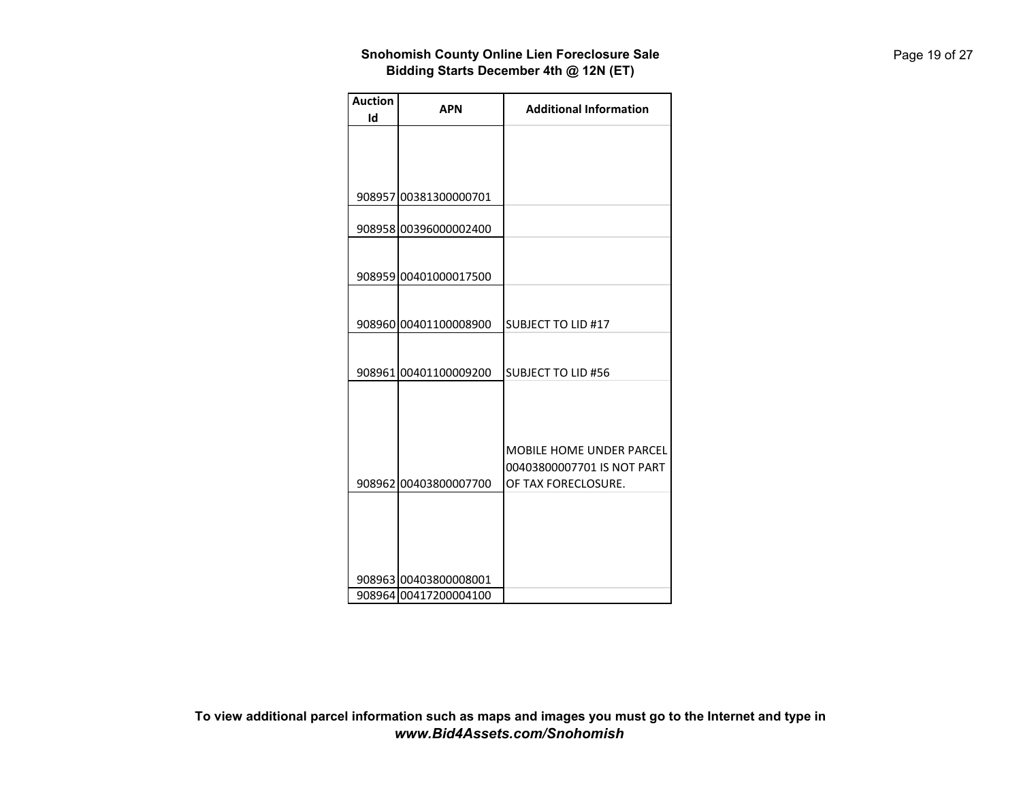| <b>Auction</b> | APN                   | <b>Additional Information</b> |
|----------------|-----------------------|-------------------------------|
| Id             |                       |                               |
|                |                       |                               |
|                |                       |                               |
|                |                       |                               |
|                |                       |                               |
|                | 908957 00381300000701 |                               |
|                |                       |                               |
|                | 908958 00396000002400 |                               |
|                |                       |                               |
|                | 908959 00401000017500 |                               |
|                |                       |                               |
|                |                       |                               |
|                | 908960 00401100008900 | <b>SUBJECT TO LID #17</b>     |
|                |                       |                               |
|                |                       |                               |
|                | 908961 00401100009200 | <b>SUBJECT TO LID #56</b>     |
|                |                       |                               |
|                |                       |                               |
|                |                       |                               |
|                |                       |                               |
|                |                       | MOBILE HOME UNDER PARCEL      |
|                |                       | 00403800007701 IS NOT PART    |
|                | 908962 00403800007700 | OF TAX FORECLOSURE.           |
|                |                       |                               |
|                |                       |                               |
|                |                       |                               |
|                |                       |                               |
|                |                       |                               |
|                | 908963 00403800008001 |                               |
|                | 908964 00417200004100 |                               |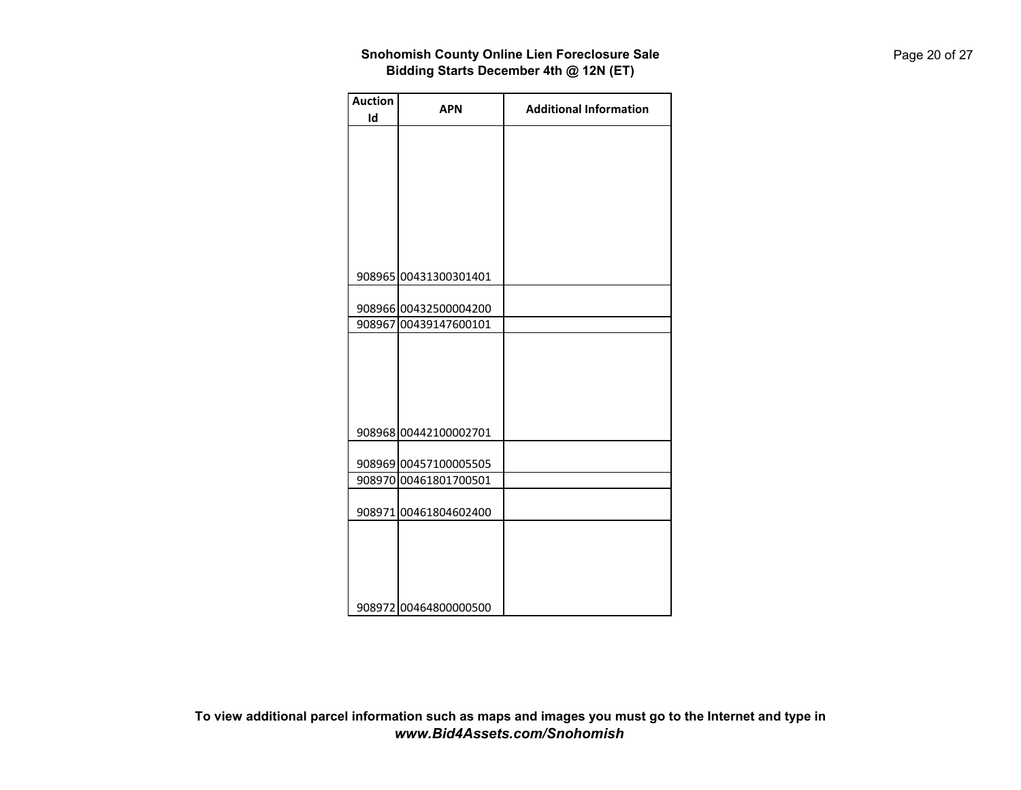| <b>Auction</b> | <b>APN</b>            | <b>Additional Information</b> |
|----------------|-----------------------|-------------------------------|
| Id             |                       |                               |
|                |                       |                               |
|                |                       |                               |
|                |                       |                               |
|                |                       |                               |
|                |                       |                               |
|                |                       |                               |
|                |                       |                               |
|                |                       |                               |
|                | 908965 00431300301401 |                               |
|                |                       |                               |
|                | 908966 00432500004200 |                               |
|                | 908967 00439147600101 |                               |
|                |                       |                               |
|                |                       |                               |
|                |                       |                               |
|                |                       |                               |
|                |                       |                               |
|                |                       |                               |
|                | 908968 00442100002701 |                               |
|                |                       |                               |
|                | 908969 00457100005505 |                               |
|                | 908970 00461801700501 |                               |
|                |                       |                               |
|                | 908971 00461804602400 |                               |
|                |                       |                               |
|                |                       |                               |
|                |                       |                               |
|                |                       |                               |
|                | 908972 00464800000500 |                               |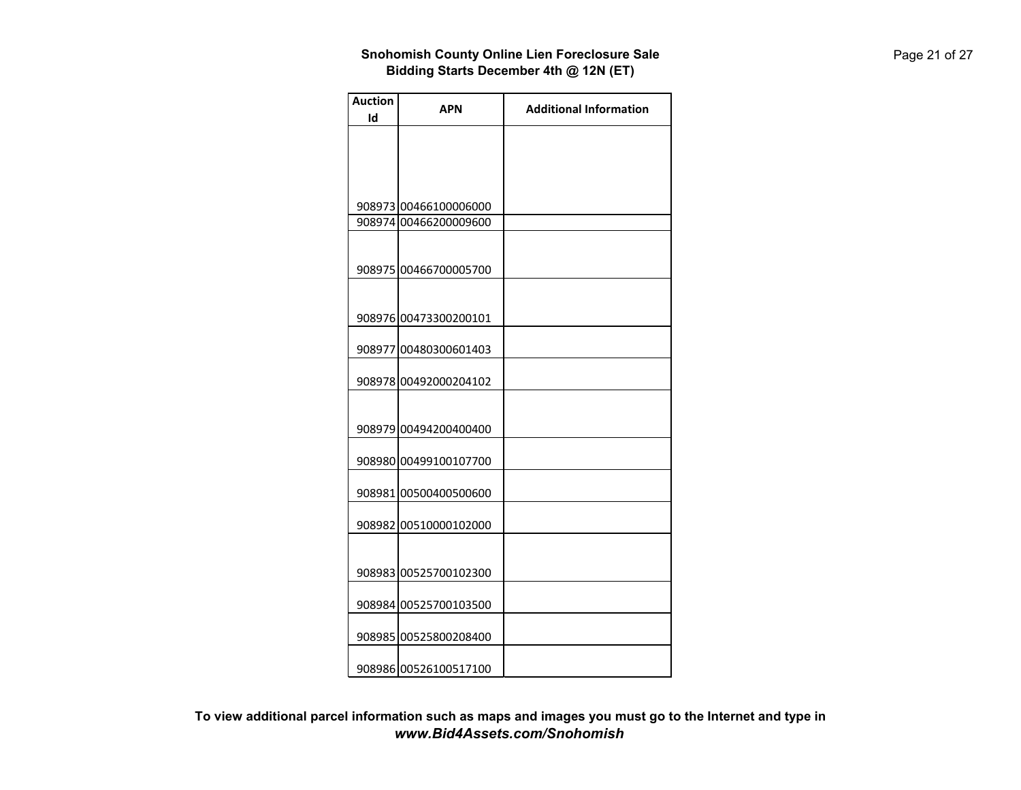| <b>Additional Information</b>                                                                                                                                                                                                                                                                                                                                            |
|--------------------------------------------------------------------------------------------------------------------------------------------------------------------------------------------------------------------------------------------------------------------------------------------------------------------------------------------------------------------------|
|                                                                                                                                                                                                                                                                                                                                                                          |
|                                                                                                                                                                                                                                                                                                                                                                          |
|                                                                                                                                                                                                                                                                                                                                                                          |
|                                                                                                                                                                                                                                                                                                                                                                          |
|                                                                                                                                                                                                                                                                                                                                                                          |
|                                                                                                                                                                                                                                                                                                                                                                          |
|                                                                                                                                                                                                                                                                                                                                                                          |
|                                                                                                                                                                                                                                                                                                                                                                          |
|                                                                                                                                                                                                                                                                                                                                                                          |
|                                                                                                                                                                                                                                                                                                                                                                          |
|                                                                                                                                                                                                                                                                                                                                                                          |
|                                                                                                                                                                                                                                                                                                                                                                          |
|                                                                                                                                                                                                                                                                                                                                                                          |
|                                                                                                                                                                                                                                                                                                                                                                          |
|                                                                                                                                                                                                                                                                                                                                                                          |
|                                                                                                                                                                                                                                                                                                                                                                          |
|                                                                                                                                                                                                                                                                                                                                                                          |
|                                                                                                                                                                                                                                                                                                                                                                          |
|                                                                                                                                                                                                                                                                                                                                                                          |
|                                                                                                                                                                                                                                                                                                                                                                          |
|                                                                                                                                                                                                                                                                                                                                                                          |
|                                                                                                                                                                                                                                                                                                                                                                          |
|                                                                                                                                                                                                                                                                                                                                                                          |
|                                                                                                                                                                                                                                                                                                                                                                          |
|                                                                                                                                                                                                                                                                                                                                                                          |
|                                                                                                                                                                                                                                                                                                                                                                          |
|                                                                                                                                                                                                                                                                                                                                                                          |
|                                                                                                                                                                                                                                                                                                                                                                          |
|                                                                                                                                                                                                                                                                                                                                                                          |
|                                                                                                                                                                                                                                                                                                                                                                          |
|                                                                                                                                                                                                                                                                                                                                                                          |
|                                                                                                                                                                                                                                                                                                                                                                          |
|                                                                                                                                                                                                                                                                                                                                                                          |
|                                                                                                                                                                                                                                                                                                                                                                          |
|                                                                                                                                                                                                                                                                                                                                                                          |
| <b>APN</b><br>908973 00466100006000<br>908974 00466200009600<br>908975 00466700005700<br>908976 00473300200101<br>908977 00480300601403<br>908978 00492000204102<br>908979 00494200400400<br>908980 00499100107700<br>908981 00500400500600<br>908982 00510000102000<br>908983 00525700102300<br>908984 00525700103500<br>908985 00525800208400<br>908986 00526100517100 |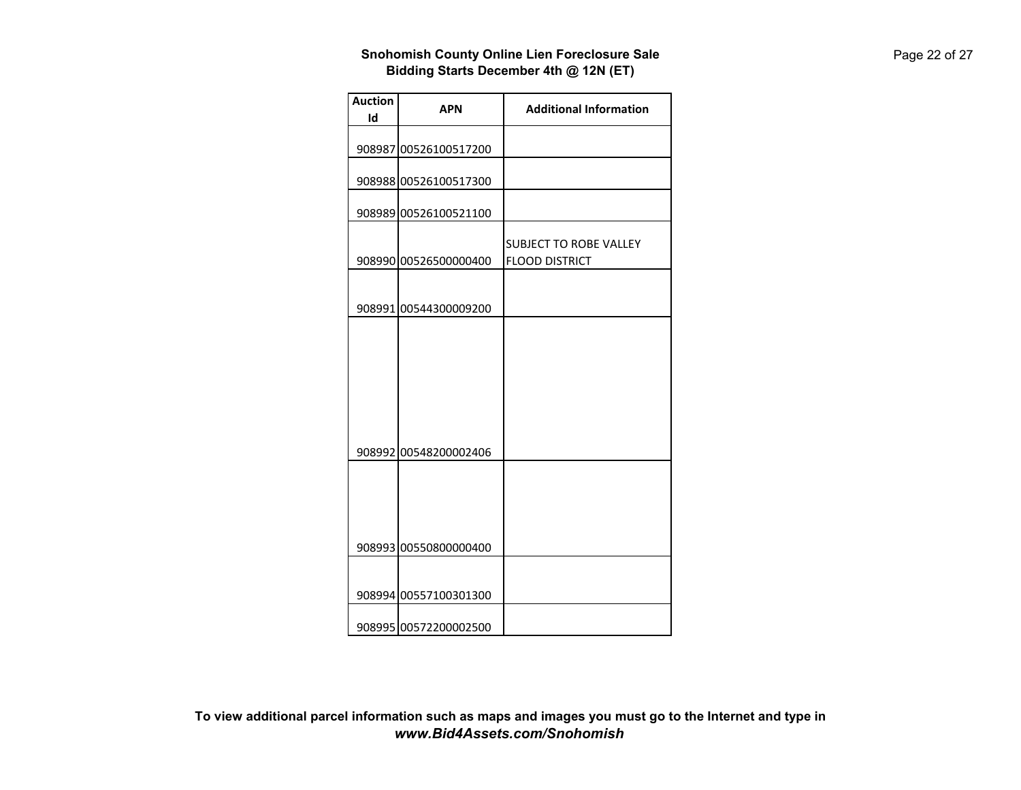| <b>Auction</b><br>Id | <b>APN</b>            | <b>Additional Information</b>                          |
|----------------------|-----------------------|--------------------------------------------------------|
|                      |                       |                                                        |
|                      | 908987 00526100517200 |                                                        |
|                      | 908988 00526100517300 |                                                        |
|                      | 908989 00526100521100 |                                                        |
|                      | 908990 00526500000400 | <b>SUBJECT TO ROBE VALLEY</b><br><b>FLOOD DISTRICT</b> |
|                      | 908991 00544300009200 |                                                        |
|                      | 908992 00548200002406 |                                                        |
|                      | 908993 00550800000400 |                                                        |
|                      |                       |                                                        |
|                      | 908994 00557100301300 |                                                        |
|                      | 908995 00572200002500 |                                                        |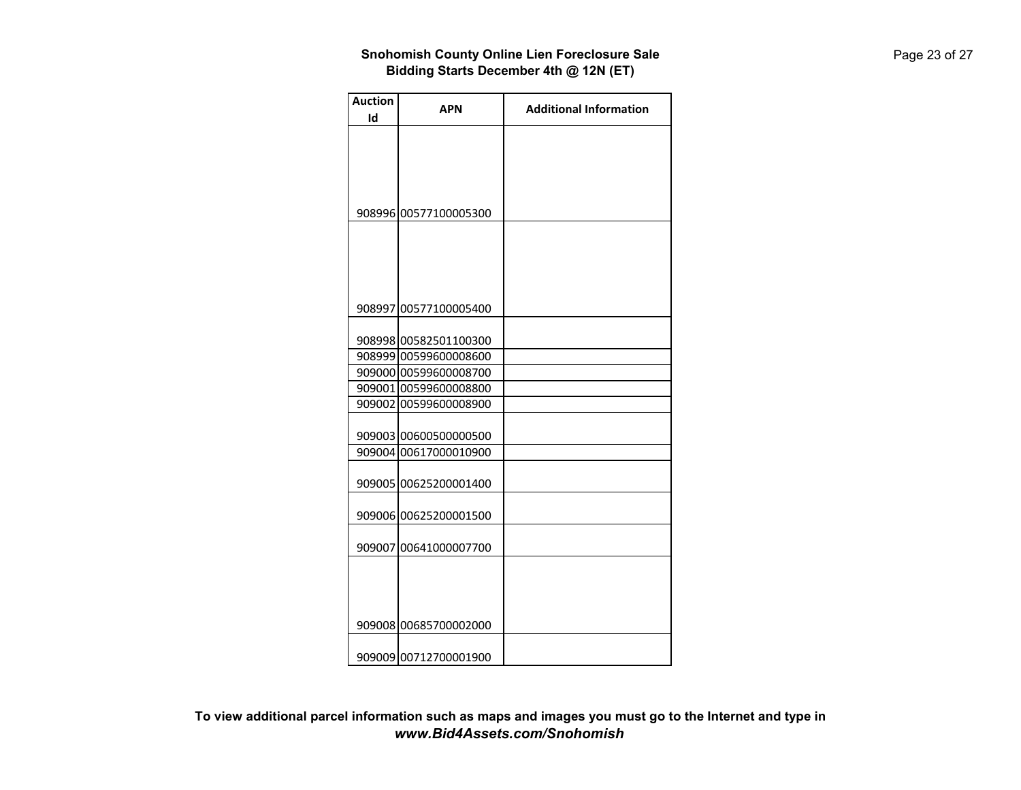| <b>Auction</b> | <b>APN</b>                                     | <b>Additional Information</b> |
|----------------|------------------------------------------------|-------------------------------|
| Id             |                                                |                               |
|                | 908996 00577100005300                          |                               |
|                | 908997 00577100005400                          |                               |
|                | 908998 00582501100300                          |                               |
|                | 908999 00599600008600                          |                               |
|                | 909000 00599600008700                          |                               |
|                | 909001 00599600008800                          |                               |
|                | 909002 00599600008900                          |                               |
|                | 909003 00600500000500<br>909004 00617000010900 |                               |
|                |                                                |                               |
|                | 909005 00625200001400                          |                               |
|                | 909006 00625200001500                          |                               |
|                | 909007 00641000007700                          |                               |
|                |                                                |                               |
|                |                                                |                               |
|                | 909008 00685700002000                          |                               |
|                | 909009 00712700001900                          |                               |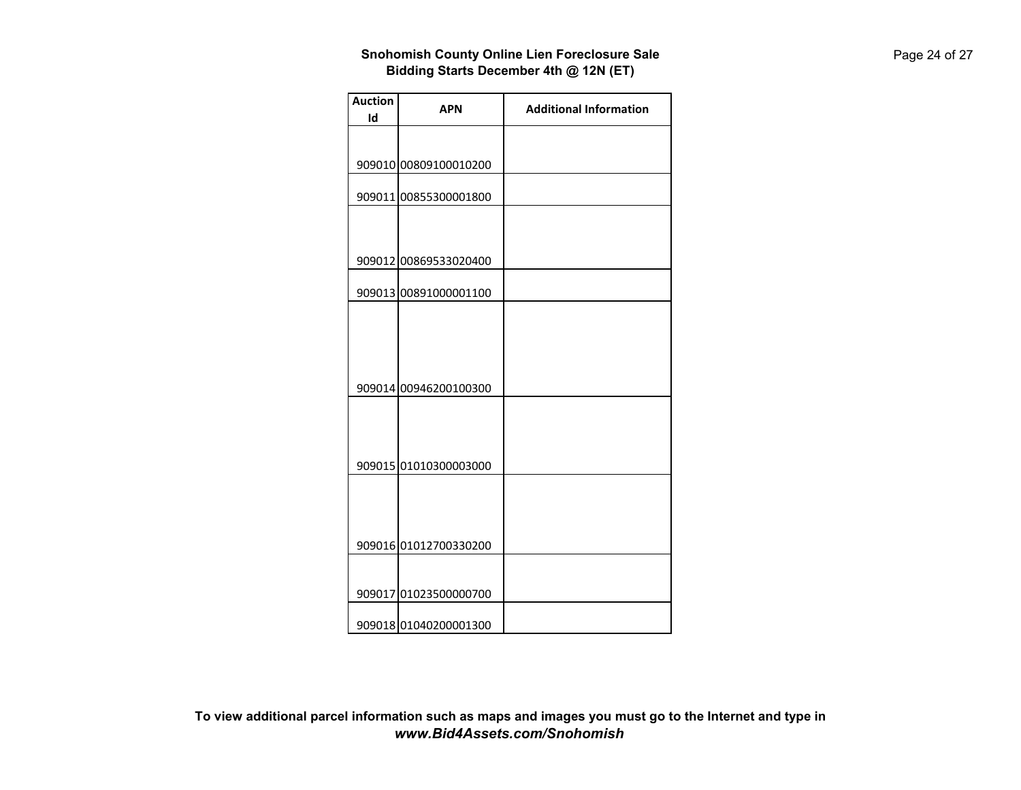| <b>Auction</b> | <b>APN</b>            | <b>Additional Information</b> |
|----------------|-----------------------|-------------------------------|
| Id             |                       |                               |
|                |                       |                               |
|                | 909010 00809100010200 |                               |
|                | 909011 00855300001800 |                               |
|                |                       |                               |
|                | 909012 00869533020400 |                               |
|                | 909013 00891000001100 |                               |
|                |                       |                               |
|                |                       |                               |
|                |                       |                               |
|                | 909014 00946200100300 |                               |
|                |                       |                               |
|                |                       |                               |
|                | 909015 01010300003000 |                               |
|                |                       |                               |
|                |                       |                               |
|                | 909016 01012700330200 |                               |
|                |                       |                               |
|                | 909017 01023500000700 |                               |
|                | 909018 01040200001300 |                               |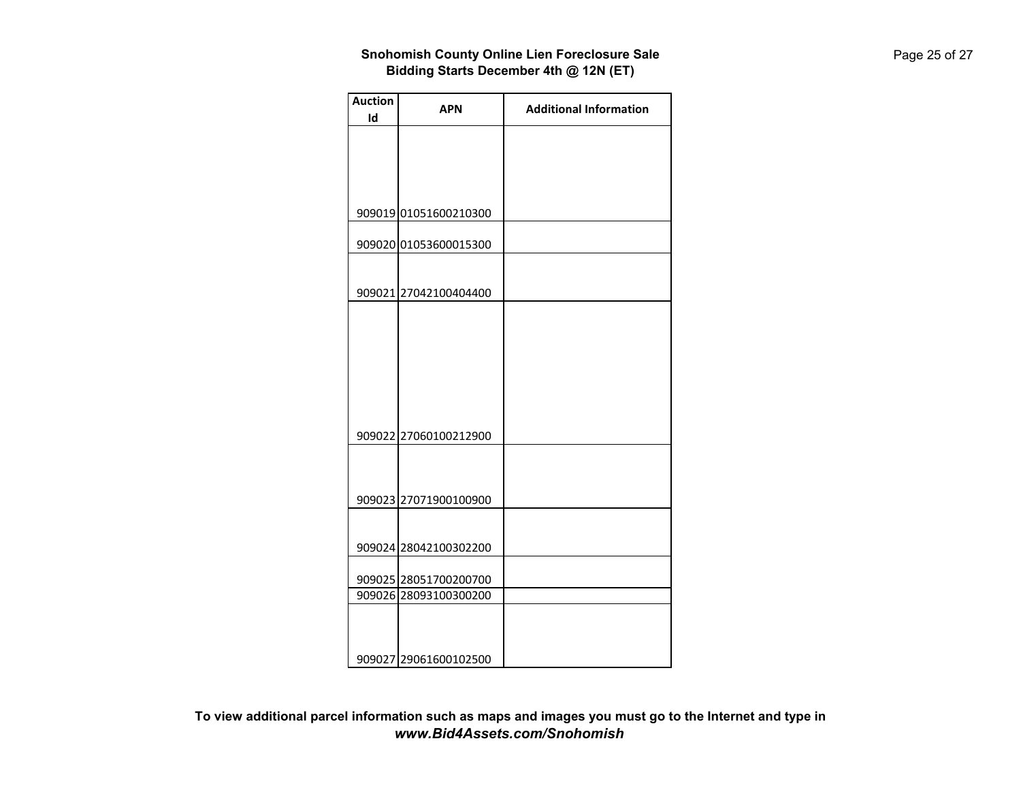| <b>Auction</b> | <b>APN</b>            | <b>Additional Information</b> |
|----------------|-----------------------|-------------------------------|
| Id             |                       |                               |
|                |                       |                               |
|                |                       |                               |
|                |                       |                               |
|                |                       |                               |
|                | 909019 01051600210300 |                               |
|                |                       |                               |
|                | 909020 01053600015300 |                               |
|                |                       |                               |
|                |                       |                               |
|                | 909021 27042100404400 |                               |
|                |                       |                               |
|                |                       |                               |
|                |                       |                               |
|                |                       |                               |
|                |                       |                               |
|                |                       |                               |
|                |                       |                               |
|                | 909022 27060100212900 |                               |
|                |                       |                               |
|                |                       |                               |
|                |                       |                               |
|                | 909023 27071900100900 |                               |
|                |                       |                               |
|                |                       |                               |
|                | 909024 28042100302200 |                               |
|                | 909025 28051700200700 |                               |
|                | 909026 28093100300200 |                               |
|                |                       |                               |
|                |                       |                               |
|                |                       |                               |
|                | 909027 29061600102500 |                               |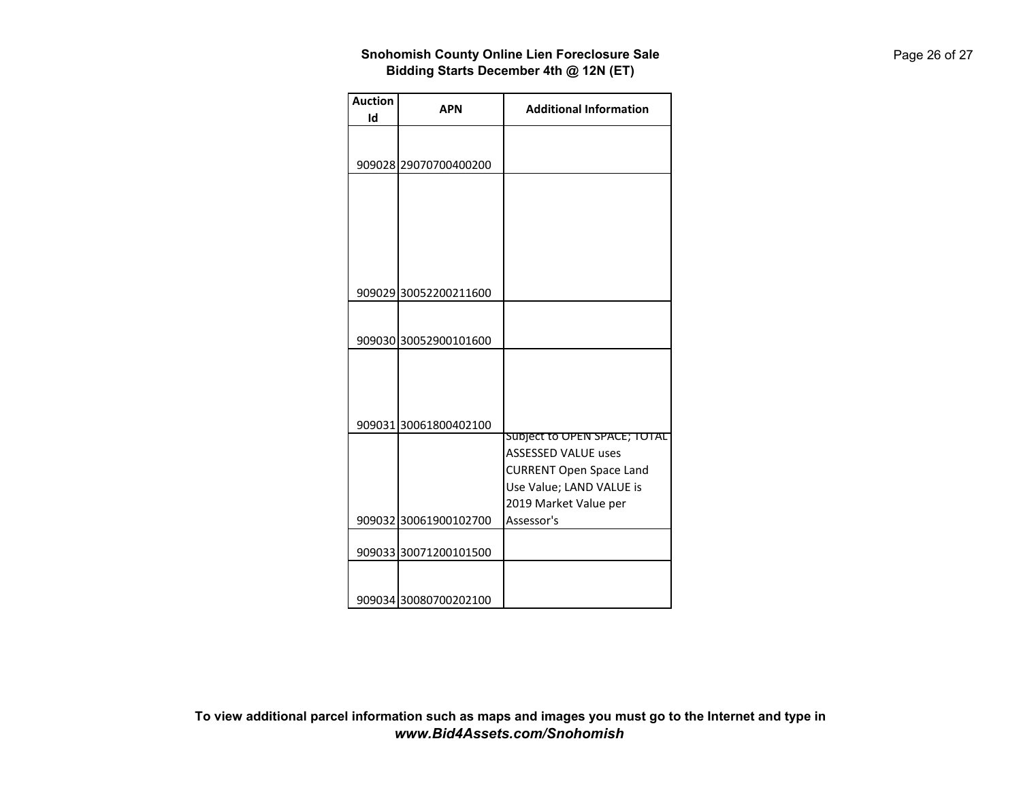| <b>Auction</b> | <b>APN</b>            | <b>Additional Information</b>  |
|----------------|-----------------------|--------------------------------|
| Id             |                       |                                |
|                |                       |                                |
|                | 909028 29070700400200 |                                |
|                |                       |                                |
|                |                       |                                |
|                |                       |                                |
|                |                       |                                |
|                |                       |                                |
|                |                       |                                |
|                |                       |                                |
|                | 909029 30052200211600 |                                |
|                |                       |                                |
|                |                       |                                |
|                | 909030 30052900101600 |                                |
|                |                       |                                |
|                |                       |                                |
|                |                       |                                |
|                |                       |                                |
|                | 909031 30061800402100 | Subject to OPEN SPACE; TOTAL   |
|                |                       | <b>ASSESSED VALUE uses</b>     |
|                |                       | <b>CURRENT Open Space Land</b> |
|                |                       | Use Value; LAND VALUE is       |
|                |                       | 2019 Market Value per          |
|                | 909032 30061900102700 | Assessor's                     |
|                |                       |                                |
|                | 909033 30071200101500 |                                |
|                |                       |                                |
|                |                       |                                |
|                | 909034 30080700202100 |                                |